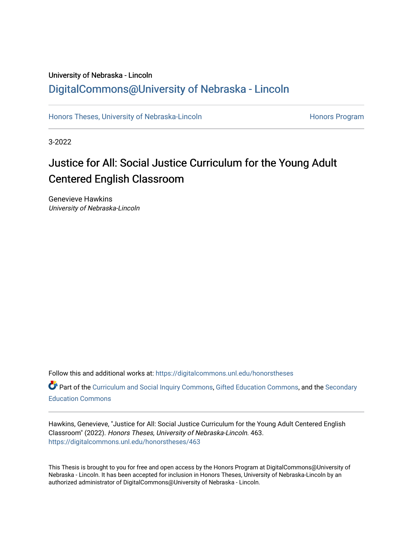# University of Nebraska - Lincoln [DigitalCommons@University of Nebraska - Lincoln](https://digitalcommons.unl.edu/)

[Honors Theses, University of Nebraska-Lincoln](https://digitalcommons.unl.edu/honorstheses) **Honors Program** Honors Program

3-2022

# Justice for All: Social Justice Curriculum for the Young Adult Centered English Classroom

Genevieve Hawkins University of Nebraska-Lincoln

Follow this and additional works at: [https://digitalcommons.unl.edu/honorstheses](https://digitalcommons.unl.edu/honorstheses?utm_source=digitalcommons.unl.edu%2Fhonorstheses%2F463&utm_medium=PDF&utm_campaign=PDFCoverPages)

Part of the [Curriculum and Social Inquiry Commons,](http://network.bepress.com/hgg/discipline/1038?utm_source=digitalcommons.unl.edu%2Fhonorstheses%2F463&utm_medium=PDF&utm_campaign=PDFCoverPages) [Gifted Education Commons,](http://network.bepress.com/hgg/discipline/1048?utm_source=digitalcommons.unl.edu%2Fhonorstheses%2F463&utm_medium=PDF&utm_campaign=PDFCoverPages) and the [Secondary](http://network.bepress.com/hgg/discipline/1382?utm_source=digitalcommons.unl.edu%2Fhonorstheses%2F463&utm_medium=PDF&utm_campaign=PDFCoverPages)  [Education Commons](http://network.bepress.com/hgg/discipline/1382?utm_source=digitalcommons.unl.edu%2Fhonorstheses%2F463&utm_medium=PDF&utm_campaign=PDFCoverPages) 

Hawkins, Genevieve, "Justice for All: Social Justice Curriculum for the Young Adult Centered English Classroom" (2022). Honors Theses, University of Nebraska-Lincoln. 463. [https://digitalcommons.unl.edu/honorstheses/463](https://digitalcommons.unl.edu/honorstheses/463?utm_source=digitalcommons.unl.edu%2Fhonorstheses%2F463&utm_medium=PDF&utm_campaign=PDFCoverPages)

This Thesis is brought to you for free and open access by the Honors Program at DigitalCommons@University of Nebraska - Lincoln. It has been accepted for inclusion in Honors Theses, University of Nebraska-Lincoln by an authorized administrator of DigitalCommons@University of Nebraska - Lincoln.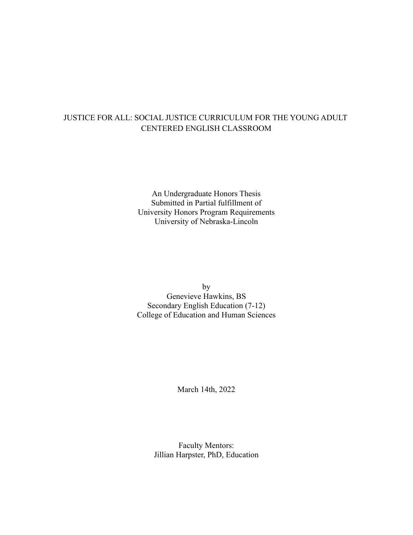# JUSTICE FOR ALL: SOCIAL JUSTICE CURRICULUM FOR THE YOUNG ADULT CENTERED ENGLISH CLASSROOM

An Undergraduate Honors Thesis Submitted in Partial fulfillment of University Honors Program Requirements University of Nebraska-Lincoln

by Genevieve Hawkins, BS Secondary English Education (7-12) College of Education and Human Sciences

March 14th, 2022

Faculty Mentors: Jillian Harpster, PhD, Education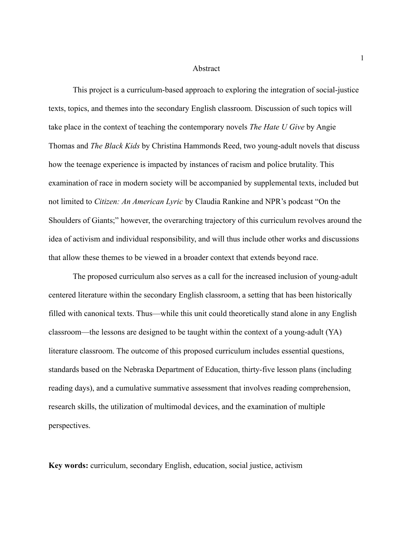#### Abstract

This project is a curriculum-based approach to exploring the integration of social-justice texts, topics, and themes into the secondary English classroom. Discussion of such topics will take place in the context of teaching the contemporary novels *The Hate U Give* by Angie Thomas and *The Black Kids* by Christina Hammonds Reed, two young-adult novels that discuss how the teenage experience is impacted by instances of racism and police brutality. This examination of race in modern society will be accompanied by supplemental texts, included but not limited to *Citizen: An American Lyric* by Claudia Rankine and NPR's podcast "On the Shoulders of Giants;" however, the overarching trajectory of this curriculum revolves around the idea of activism and individual responsibility, and will thus include other works and discussions that allow these themes to be viewed in a broader context that extends beyond race.

The proposed curriculum also serves as a call for the increased inclusion of young-adult centered literature within the secondary English classroom, a setting that has been historically filled with canonical texts. Thus—while this unit could theoretically stand alone in any English classroom—the lessons are designed to be taught within the context of a young-adult (YA) literature classroom. The outcome of this proposed curriculum includes essential questions, standards based on the Nebraska Department of Education, thirty-five lesson plans (including reading days), and a cumulative summative assessment that involves reading comprehension, research skills, the utilization of multimodal devices, and the examination of multiple perspectives.

**Key words:** curriculum, secondary English, education, social justice, activism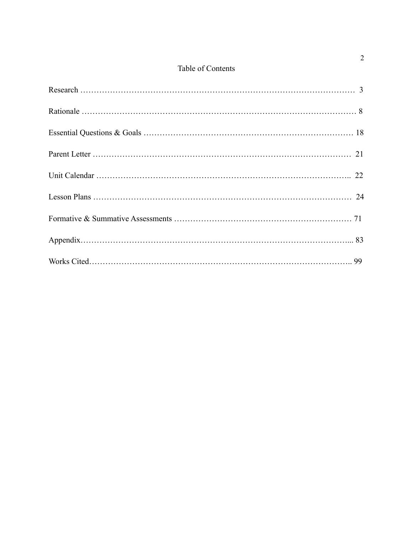# Table of Contents

# 2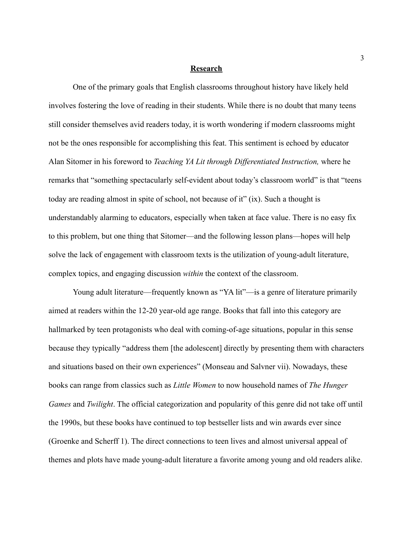#### **Research**

One of the primary goals that English classrooms throughout history have likely held involves fostering the love of reading in their students. While there is no doubt that many teens still consider themselves avid readers today, it is worth wondering if modern classrooms might not be the ones responsible for accomplishing this feat. This sentiment is echoed by educator Alan Sitomer in his foreword to *Teaching YA Lit through Differentiated Instruction,* where he remarks that "something spectacularly self-evident about today's classroom world" is that "teens today are reading almost in spite of school, not because of it" (ix). Such a thought is understandably alarming to educators, especially when taken at face value. There is no easy fix to this problem, but one thing that Sitomer—and the following lesson plans—hopes will help solve the lack of engagement with classroom texts is the utilization of young-adult literature, complex topics, and engaging discussion *within* the context of the classroom.

Young adult literature—frequently known as "YA lit"—is a genre of literature primarily aimed at readers within the 12-20 year-old age range. Books that fall into this category are hallmarked by teen protagonists who deal with coming-of-age situations, popular in this sense because they typically "address them [the adolescent] directly by presenting them with characters and situations based on their own experiences" (Monseau and Salvner vii). Nowadays, these books can range from classics such as *Little Women* to now household names of *The Hunger Games* and *Twilight*. The official categorization and popularity of this genre did not take off until the 1990s, but these books have continued to top bestseller lists and win awards ever since (Groenke and Scherff 1). The direct connections to teen lives and almost universal appeal of themes and plots have made young-adult literature a favorite among young and old readers alike.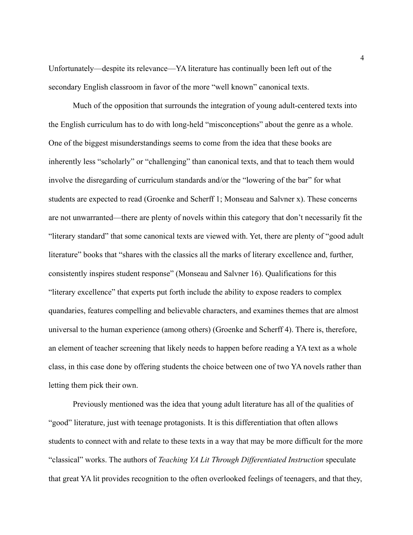Unfortunately—despite its relevance—YA literature has continually been left out of the secondary English classroom in favor of the more "well known" canonical texts.

Much of the opposition that surrounds the integration of young adult-centered texts into the English curriculum has to do with long-held "misconceptions" about the genre as a whole. One of the biggest misunderstandings seems to come from the idea that these books are inherently less "scholarly" or "challenging" than canonical texts, and that to teach them would involve the disregarding of curriculum standards and/or the "lowering of the bar" for what students are expected to read (Groenke and Scherff 1; Monseau and Salvner x). These concerns are not unwarranted—there are plenty of novels within this category that don't necessarily fit the "literary standard" that some canonical texts are viewed with. Yet, there are plenty of "good adult literature" books that "shares with the classics all the marks of literary excellence and, further, consistently inspires student response" (Monseau and Salvner 16). Qualifications for this "literary excellence" that experts put forth include the ability to expose readers to complex quandaries, features compelling and believable characters, and examines themes that are almost universal to the human experience (among others) (Groenke and Scherff 4). There is, therefore, an element of teacher screening that likely needs to happen before reading a YA text as a whole class, in this case done by offering students the choice between one of two YA novels rather than letting them pick their own.

Previously mentioned was the idea that young adult literature has all of the qualities of "good" literature, just with teenage protagonists. It is this differentiation that often allows students to connect with and relate to these texts in a way that may be more difficult for the more "classical" works. The authors of *Teaching YA Lit Through Differentiated Instruction* speculate that great YA lit provides recognition to the often overlooked feelings of teenagers, and that they,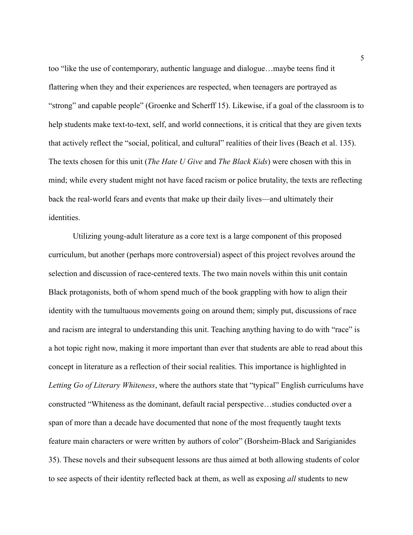too "like the use of contemporary, authentic language and dialogue…maybe teens find it flattering when they and their experiences are respected, when teenagers are portrayed as "strong" and capable people" (Groenke and Scherff 15). Likewise, if a goal of the classroom is to help students make text-to-text, self, and world connections, it is critical that they are given texts that actively reflect the "social, political, and cultural" realities of their lives (Beach et al. 135). The texts chosen for this unit (*The Hate U Give* and *The Black Kids*) were chosen with this in mind; while every student might not have faced racism or police brutality, the texts are reflecting back the real-world fears and events that make up their daily lives—and ultimately their identities.

Utilizing young-adult literature as a core text is a large component of this proposed curriculum, but another (perhaps more controversial) aspect of this project revolves around the selection and discussion of race-centered texts. The two main novels within this unit contain Black protagonists, both of whom spend much of the book grappling with how to align their identity with the tumultuous movements going on around them; simply put, discussions of race and racism are integral to understanding this unit. Teaching anything having to do with "race" is a hot topic right now, making it more important than ever that students are able to read about this concept in literature as a reflection of their social realities. This importance is highlighted in *Letting Go of Literary Whiteness*, where the authors state that "typical" English curriculums have constructed "Whiteness as the dominant, default racial perspective…studies conducted over a span of more than a decade have documented that none of the most frequently taught texts feature main characters or were written by authors of color" (Borsheim-Black and Sarigianides 35). These novels and their subsequent lessons are thus aimed at both allowing students of color to see aspects of their identity reflected back at them, as well as exposing *all* students to new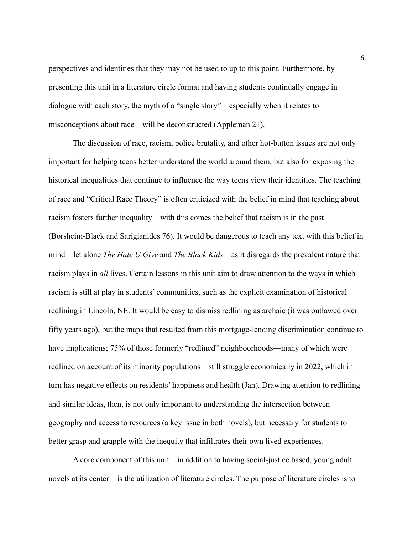perspectives and identities that they may not be used to up to this point. Furthermore, by presenting this unit in a literature circle format and having students continually engage in dialogue with each story, the myth of a "single story"—especially when it relates to misconceptions about race—will be deconstructed (Appleman 21).

The discussion of race, racism, police brutality, and other hot-button issues are not only important for helping teens better understand the world around them, but also for exposing the historical inequalities that continue to influence the way teens view their identities. The teaching of race and "Critical Race Theory" is often criticized with the belief in mind that teaching about racism fosters further inequality—with this comes the belief that racism is in the past (Borsheim-Black and Sarigianides 76). It would be dangerous to teach any text with this belief in mind—let alone *The Hate U Give* and *The Black Kids*—as it disregards the prevalent nature that racism plays in *all* lives. Certain lessons in this unit aim to draw attention to the ways in which racism is still at play in students' communities, such as the explicit examination of historical redlining in Lincoln, NE. It would be easy to dismiss redlining as archaic (it was outlawed over fifty years ago), but the maps that resulted from this mortgage-lending discrimination continue to have implications; 75% of those formerly "redlined" neighboorhoods—many of which were redlined on account of its minority populations—still struggle economically in 2022, which in turn has negative effects on residents' happiness and health (Jan). Drawing attention to redlining and similar ideas, then, is not only important to understanding the intersection between geography and access to resources (a key issue in both novels), but necessary for students to better grasp and grapple with the inequity that infiltrates their own lived experiences.

A core component of this unit—in addition to having social-justice based, young adult novels at its center—is the utilization of literature circles. The purpose of literature circles is to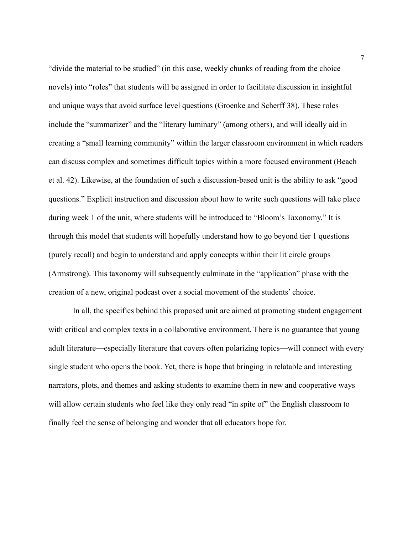"divide the material to be studied" (in this case, weekly chunks of reading from the choice novels) into "roles" that students will be assigned in order to facilitate discussion in insightful and unique ways that avoid surface level questions (Groenke and Scherff 38). These roles include the "summarizer" and the "literary luminary" (among others), and will ideally aid in creating a "small learning community" within the larger classroom environment in which readers can discuss complex and sometimes difficult topics within a more focused environment (Beach et al. 42). Likewise, at the foundation of such a discussion-based unit is the ability to ask "good questions." Explicit instruction and discussion about how to write such questions will take place during week 1 of the unit, where students will be introduced to "Bloom's Taxonomy." It is through this model that students will hopefully understand how to go beyond tier 1 questions (purely recall) and begin to understand and apply concepts within their lit circle groups (Armstrong). This taxonomy will subsequently culminate in the "application" phase with the creation of a new, original podcast over a social movement of the students' choice.

In all, the specifics behind this proposed unit are aimed at promoting student engagement with critical and complex texts in a collaborative environment. There is no guarantee that young adult literature—especially literature that covers often polarizing topics—will connect with every single student who opens the book. Yet, there is hope that bringing in relatable and interesting narrators, plots, and themes and asking students to examine them in new and cooperative ways will allow certain students who feel like they only read "in spite of" the English classroom to finally feel the sense of belonging and wonder that all educators hope for.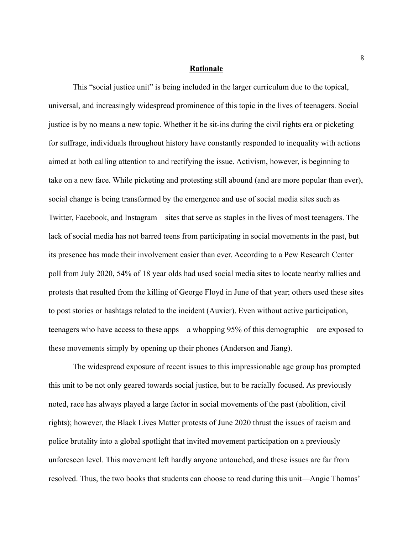#### **Rationale**

This "social justice unit" is being included in the larger curriculum due to the topical, universal, and increasingly widespread prominence of this topic in the lives of teenagers. Social justice is by no means a new topic. Whether it be sit-ins during the civil rights era or picketing for suffrage, individuals throughout history have constantly responded to inequality with actions aimed at both calling attention to and rectifying the issue. Activism, however, is beginning to take on a new face. While picketing and protesting still abound (and are more popular than ever), social change is being transformed by the emergence and use of social media sites such as Twitter, Facebook, and Instagram—sites that serve as staples in the lives of most teenagers. The lack of social media has not barred teens from participating in social movements in the past, but its presence has made their involvement easier than ever. According to a Pew Research Center poll from July 2020, 54% of 18 year olds had used social media sites to locate nearby rallies and protests that resulted from the killing of George Floyd in June of that year; others used these sites to post stories or hashtags related to the incident (Auxier). Even without active participation, teenagers who have access to these apps—a whopping 95% of this demographic—are exposed to these movements simply by opening up their phones (Anderson and Jiang).

The widespread exposure of recent issues to this impressionable age group has prompted this unit to be not only geared towards social justice, but to be racially focused. As previously noted, race has always played a large factor in social movements of the past (abolition, civil rights); however, the Black Lives Matter protests of June 2020 thrust the issues of racism and police brutality into a global spotlight that invited movement participation on a previously unforeseen level. This movement left hardly anyone untouched, and these issues are far from resolved. Thus, the two books that students can choose to read during this unit—Angie Thomas'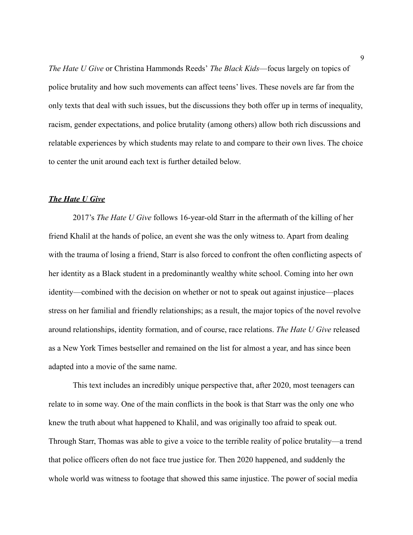*The Hate U Give* or Christina Hammonds Reeds' *The Black Kids*—focus largely on topics of police brutality and how such movements can affect teens' lives. These novels are far from the only texts that deal with such issues, but the discussions they both offer up in terms of inequality, racism, gender expectations, and police brutality (among others) allow both rich discussions and relatable experiences by which students may relate to and compare to their own lives. The choice to center the unit around each text is further detailed below.

#### *The Hate U Give*

2017's *The Hate U Give* follows 16-year-old Starr in the aftermath of the killing of her friend Khalil at the hands of police, an event she was the only witness to. Apart from dealing with the trauma of losing a friend, Starr is also forced to confront the often conflicting aspects of her identity as a Black student in a predominantly wealthy white school. Coming into her own identity—combined with the decision on whether or not to speak out against injustice—places stress on her familial and friendly relationships; as a result, the major topics of the novel revolve around relationships, identity formation, and of course, race relations. *The Hate U Give* released as a New York Times bestseller and remained on the list for almost a year, and has since been adapted into a movie of the same name.

This text includes an incredibly unique perspective that, after 2020, most teenagers can relate to in some way. One of the main conflicts in the book is that Starr was the only one who knew the truth about what happened to Khalil, and was originally too afraid to speak out. Through Starr, Thomas was able to give a voice to the terrible reality of police brutality—a trend that police officers often do not face true justice for. Then 2020 happened, and suddenly the whole world was witness to footage that showed this same injustice. The power of social media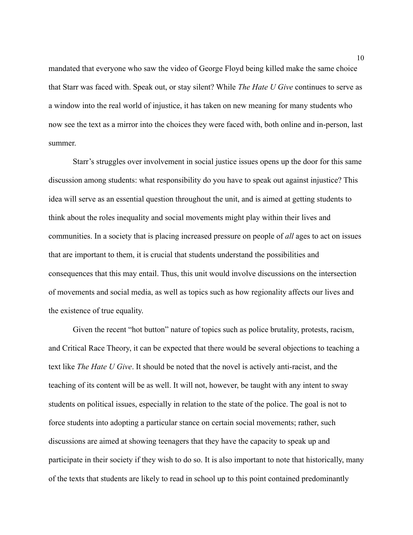mandated that everyone who saw the video of George Floyd being killed make the same choice that Starr was faced with. Speak out, or stay silent? While *The Hate U Give* continues to serve as a window into the real world of injustice, it has taken on new meaning for many students who now see the text as a mirror into the choices they were faced with, both online and in-person, last summer.

Starr's struggles over involvement in social justice issues opens up the door for this same discussion among students: what responsibility do you have to speak out against injustice? This idea will serve as an essential question throughout the unit, and is aimed at getting students to think about the roles inequality and social movements might play within their lives and communities. In a society that is placing increased pressure on people of *all* ages to act on issues that are important to them, it is crucial that students understand the possibilities and consequences that this may entail. Thus, this unit would involve discussions on the intersection of movements and social media, as well as topics such as how regionality affects our lives and the existence of true equality.

Given the recent "hot button" nature of topics such as police brutality, protests, racism, and Critical Race Theory, it can be expected that there would be several objections to teaching a text like *The Hate U Give*. It should be noted that the novel is actively anti-racist, and the teaching of its content will be as well. It will not, however, be taught with any intent to sway students on political issues, especially in relation to the state of the police. The goal is not to force students into adopting a particular stance on certain social movements; rather, such discussions are aimed at showing teenagers that they have the capacity to speak up and participate in their society if they wish to do so. It is also important to note that historically, many of the texts that students are likely to read in school up to this point contained predominantly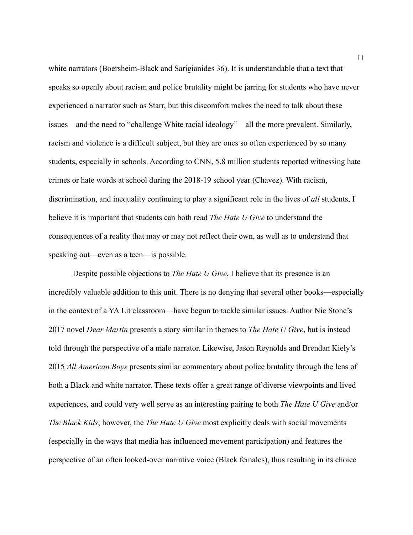white narrators (Boersheim-Black and Sarigianides 36). It is understandable that a text that speaks so openly about racism and police brutality might be jarring for students who have never experienced a narrator such as Starr, but this discomfort makes the need to talk about these issues—and the need to "challenge White racial ideology"—all the more prevalent. Similarly, racism and violence is a difficult subject, but they are ones so often experienced by so many students, especially in schools. According to CNN, 5.8 million students reported witnessing hate crimes or hate words at school during the 2018-19 school year (Chavez). With racism, discrimination, and inequality continuing to play a significant role in the lives of *all* students, I believe it is important that students can both read *The Hate U Give* to understand the consequences of a reality that may or may not reflect their own, as well as to understand that speaking out—even as a teen—is possible.

Despite possible objections to *The Hate U Give*, I believe that its presence is an incredibly valuable addition to this unit. There is no denying that several other books—especially in the context of a YA Lit classroom—have begun to tackle similar issues. Author Nic Stone's 2017 novel *Dear Martin* presents a story similar in themes to *The Hate U Give*, but is instead told through the perspective of a male narrator. Likewise, Jason Reynolds and Brendan Kiely's 2015 *All American Boys* presents similar commentary about police brutality through the lens of both a Black and white narrator. These texts offer a great range of diverse viewpoints and lived experiences, and could very well serve as an interesting pairing to both *The Hate U Give* and/or *The Black Kids*; however, the *The Hate U Give* most explicitly deals with social movements (especially in the ways that media has influenced movement participation) and features the perspective of an often looked-over narrative voice (Black females), thus resulting in its choice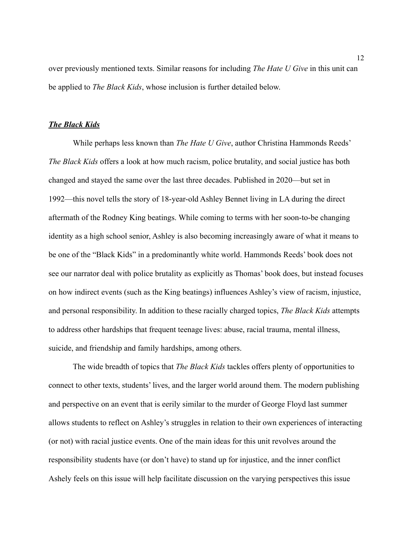over previously mentioned texts. Similar reasons for including *The Hate U Give* in this unit can be applied to *The Black Kids*, whose inclusion is further detailed below.

#### *The Black Kids*

While perhaps less known than *The Hate U Give*, author Christina Hammonds Reeds' *The Black Kids* offers a look at how much racism, police brutality, and social justice has both changed and stayed the same over the last three decades. Published in 2020—but set in 1992—this novel tells the story of 18-year-old Ashley Bennet living in LA during the direct aftermath of the Rodney King beatings. While coming to terms with her soon-to-be changing identity as a high school senior, Ashley is also becoming increasingly aware of what it means to be one of the "Black Kids" in a predominantly white world. Hammonds Reeds' book does not see our narrator deal with police brutality as explicitly as Thomas' book does, but instead focuses on how indirect events (such as the King beatings) influences Ashley's view of racism, injustice, and personal responsibility. In addition to these racially charged topics, *The Black Kids* attempts to address other hardships that frequent teenage lives: abuse, racial trauma, mental illness, suicide, and friendship and family hardships, among others.

The wide breadth of topics that *The Black Kids* tackles offers plenty of opportunities to connect to other texts, students' lives, and the larger world around them. The modern publishing and perspective on an event that is eerily similar to the murder of George Floyd last summer allows students to reflect on Ashley's struggles in relation to their own experiences of interacting (or not) with racial justice events. One of the main ideas for this unit revolves around the responsibility students have (or don't have) to stand up for injustice, and the inner conflict Ashely feels on this issue will help facilitate discussion on the varying perspectives this issue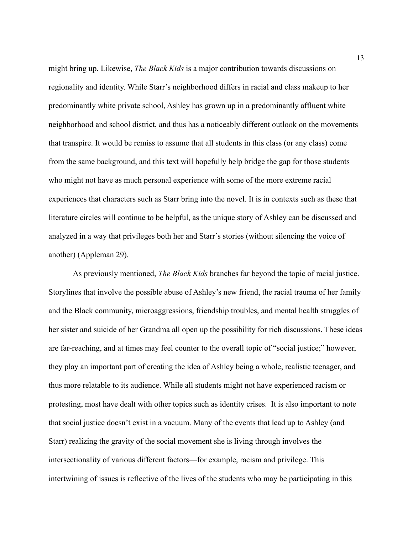might bring up. Likewise, *The Black Kids* is a major contribution towards discussions on regionality and identity. While Starr's neighborhood differs in racial and class makeup to her predominantly white private school, Ashley has grown up in a predominantly affluent white neighborhood and school district, and thus has a noticeably different outlook on the movements that transpire. It would be remiss to assume that all students in this class (or any class) come from the same background, and this text will hopefully help bridge the gap for those students who might not have as much personal experience with some of the more extreme racial experiences that characters such as Starr bring into the novel. It is in contexts such as these that literature circles will continue to be helpful, as the unique story of Ashley can be discussed and analyzed in a way that privileges both her and Starr's stories (without silencing the voice of another) (Appleman 29).

As previously mentioned, *The Black Kids* branches far beyond the topic of racial justice. Storylines that involve the possible abuse of Ashley's new friend, the racial trauma of her family and the Black community, microaggressions, friendship troubles, and mental health struggles of her sister and suicide of her Grandma all open up the possibility for rich discussions. These ideas are far-reaching, and at times may feel counter to the overall topic of "social justice;" however, they play an important part of creating the idea of Ashley being a whole, realistic teenager, and thus more relatable to its audience. While all students might not have experienced racism or protesting, most have dealt with other topics such as identity crises. It is also important to note that social justice doesn't exist in a vacuum. Many of the events that lead up to Ashley (and Starr) realizing the gravity of the social movement she is living through involves the intersectionality of various different factors—for example, racism and privilege. This intertwining of issues is reflective of the lives of the students who may be participating in this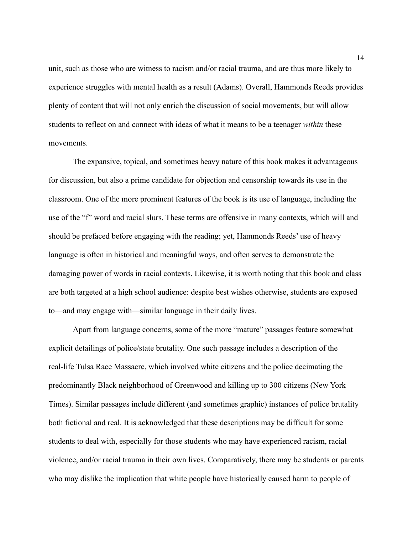unit, such as those who are witness to racism and/or racial trauma, and are thus more likely to experience struggles with mental health as a result (Adams). Overall, Hammonds Reeds provides plenty of content that will not only enrich the discussion of social movements, but will allow students to reflect on and connect with ideas of what it means to be a teenager *within* these movements.

The expansive, topical, and sometimes heavy nature of this book makes it advantageous for discussion, but also a prime candidate for objection and censorship towards its use in the classroom. One of the more prominent features of the book is its use of language, including the use of the "f" word and racial slurs. These terms are offensive in many contexts, which will and should be prefaced before engaging with the reading; yet, Hammonds Reeds' use of heavy language is often in historical and meaningful ways, and often serves to demonstrate the damaging power of words in racial contexts. Likewise, it is worth noting that this book and class are both targeted at a high school audience: despite best wishes otherwise, students are exposed to—and may engage with—similar language in their daily lives.

Apart from language concerns, some of the more "mature" passages feature somewhat explicit detailings of police/state brutality. One such passage includes a description of the real-life Tulsa Race Massacre, which involved white citizens and the police decimating the predominantly Black neighborhood of Greenwood and killing up to 300 citizens (New York Times). Similar passages include different (and sometimes graphic) instances of police brutality both fictional and real. It is acknowledged that these descriptions may be difficult for some students to deal with, especially for those students who may have experienced racism, racial violence, and/or racial trauma in their own lives. Comparatively, there may be students or parents who may dislike the implication that white people have historically caused harm to people of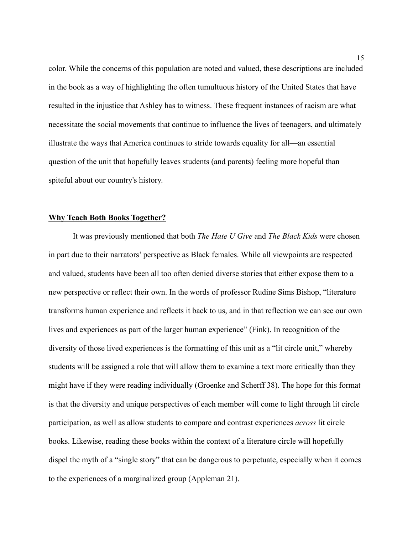color. While the concerns of this population are noted and valued, these descriptions are included in the book as a way of highlighting the often tumultuous history of the United States that have resulted in the injustice that Ashley has to witness. These frequent instances of racism are what necessitate the social movements that continue to influence the lives of teenagers, and ultimately illustrate the ways that America continues to stride towards equality for all—an essential question of the unit that hopefully leaves students (and parents) feeling more hopeful than spiteful about our country's history.

#### **Why Teach Both Books Together?**

It was previously mentioned that both *The Hate U Give* and *The Black Kids* were chosen in part due to their narrators' perspective as Black females. While all viewpoints are respected and valued, students have been all too often denied diverse stories that either expose them to a new perspective or reflect their own. In the words of professor Rudine Sims Bishop, "literature transforms human experience and reflects it back to us, and in that reflection we can see our own lives and experiences as part of the larger human experience" (Fink). In recognition of the diversity of those lived experiences is the formatting of this unit as a "lit circle unit," whereby students will be assigned a role that will allow them to examine a text more critically than they might have if they were reading individually (Groenke and Scherff 38). The hope for this format is that the diversity and unique perspectives of each member will come to light through lit circle participation, as well as allow students to compare and contrast experiences *across* lit circle books. Likewise, reading these books within the context of a literature circle will hopefully dispel the myth of a "single story" that can be dangerous to perpetuate, especially when it comes to the experiences of a marginalized group (Appleman 21).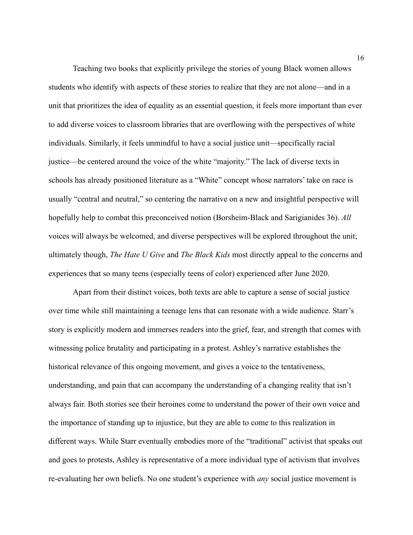Teaching two books that explicitly privilege the stories of young Black women allows students who identify with aspects of these stories to realize that they are not alone—and in a unit that prioritizes the idea of equality as an essential question, it feels more important than ever to add diverse voices to classroom libraries that are overflowing with the perspectives of white individuals. Similarly, it feels unmindful to have a social justice unit—specifically racial justice—be centered around the voice of the white "majority." The lack of diverse texts in schools has already positioned literature as a "White" concept whose narrators' take on race is usually "central and neutral," so centering the narrative on a new and insightful perspective will hopefully help to combat this preconceived notion (Borsheim-Black and Sarigianides 36). *All* voices will always be welcomed, and diverse perspectives will be explored throughout the unit; ultimately though, *The Hate U Give* and *The Black Kids* most directly appeal to the concerns and experiences that so many teens (especially teens of color) experienced after June 2020.

Apart from their distinct voices, both texts are able to capture a sense of social justice over time while still maintaining a teenage lens that can resonate with a wide audience. Starr's story is explicitly modern and immerses readers into the grief, fear, and strength that comes with witnessing police brutality and participating in a protest. Ashley's narrative establishes the historical relevance of this ongoing movement, and gives a voice to the tentativeness, understanding, and pain that can accompany the understanding of a changing reality that isn't always fair. Both stories see their heroines come to understand the power of their own voice and the importance of standing up to injustice, but they are able to come to this realization in different ways. While Starr eventually embodies more of the "traditional" activist that speaks out and goes to protests, Ashley is representative of a more individual type of activism that involves re-evaluating her own beliefs. No one student's experience with *any* social justice movement is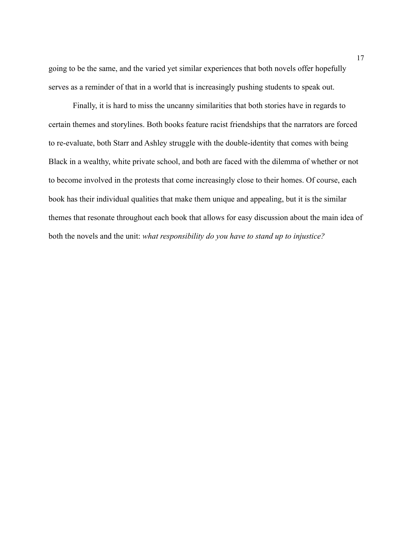going to be the same, and the varied yet similar experiences that both novels offer hopefully serves as a reminder of that in a world that is increasingly pushing students to speak out.

Finally, it is hard to miss the uncanny similarities that both stories have in regards to certain themes and storylines. Both books feature racist friendships that the narrators are forced to re-evaluate, both Starr and Ashley struggle with the double-identity that comes with being Black in a wealthy, white private school, and both are faced with the dilemma of whether or not to become involved in the protests that come increasingly close to their homes. Of course, each book has their individual qualities that make them unique and appealing, but it is the similar themes that resonate throughout each book that allows for easy discussion about the main idea of both the novels and the unit: *what responsibility do you have to stand up to injustice?*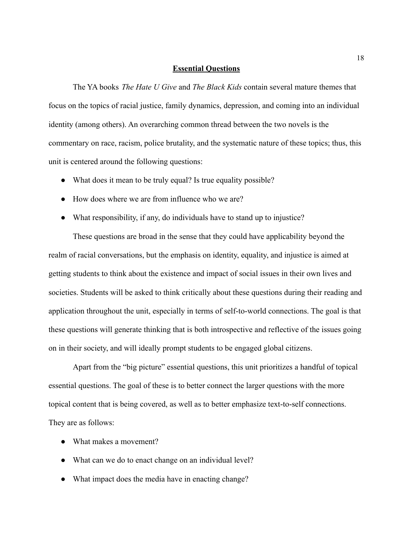#### **Essential Questions**

The YA books *The Hate U Give* and *The Black Kids* contain several mature themes that focus on the topics of racial justice, family dynamics, depression, and coming into an individual identity (among others). An overarching common thread between the two novels is the commentary on race, racism, police brutality, and the systematic nature of these topics; thus, this unit is centered around the following questions:

- What does it mean to be truly equal? Is true equality possible?
- How does where we are from influence who we are?
- What responsibility, if any, do individuals have to stand up to injustice?

These questions are broad in the sense that they could have applicability beyond the realm of racial conversations, but the emphasis on identity, equality, and injustice is aimed at getting students to think about the existence and impact of social issues in their own lives and societies. Students will be asked to think critically about these questions during their reading and application throughout the unit, especially in terms of self-to-world connections. The goal is that these questions will generate thinking that is both introspective and reflective of the issues going on in their society, and will ideally prompt students to be engaged global citizens.

Apart from the "big picture" essential questions, this unit prioritizes a handful of topical essential questions. The goal of these is to better connect the larger questions with the more topical content that is being covered, as well as to better emphasize text-to-self connections. They are as follows:

- What makes a movement?
- What can we do to enact change on an individual level?
- What impact does the media have in enacting change?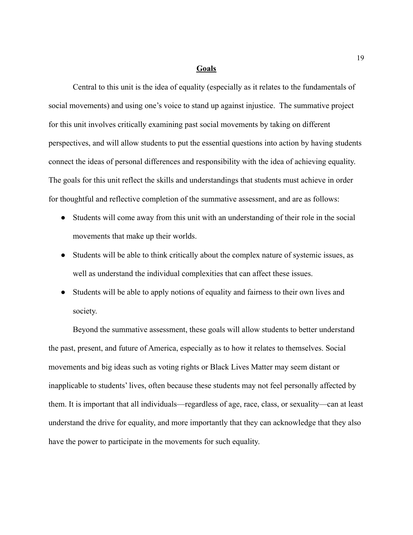#### **Goals**

Central to this unit is the idea of equality (especially as it relates to the fundamentals of social movements) and using one's voice to stand up against injustice. The summative project for this unit involves critically examining past social movements by taking on different perspectives, and will allow students to put the essential questions into action by having students connect the ideas of personal differences and responsibility with the idea of achieving equality. The goals for this unit reflect the skills and understandings that students must achieve in order for thoughtful and reflective completion of the summative assessment, and are as follows:

- Students will come away from this unit with an understanding of their role in the social movements that make up their worlds.
- Students will be able to think critically about the complex nature of systemic issues, as well as understand the individual complexities that can affect these issues.
- Students will be able to apply notions of equality and fairness to their own lives and society.

Beyond the summative assessment, these goals will allow students to better understand the past, present, and future of America, especially as to how it relates to themselves. Social movements and big ideas such as voting rights or Black Lives Matter may seem distant or inapplicable to students' lives, often because these students may not feel personally affected by them. It is important that all individuals—regardless of age, race, class, or sexuality—can at least understand the drive for equality, and more importantly that they can acknowledge that they also have the power to participate in the movements for such equality.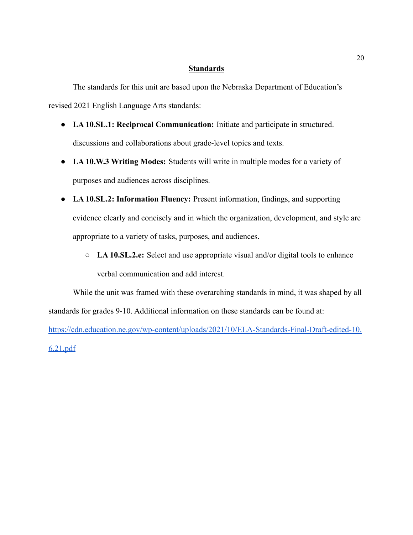#### **Standards**

The standards for this unit are based upon the Nebraska Department of Education's revised 2021 English Language Arts standards:

- **LA 10.SL.1: Reciprocal Communication:** Initiate and participate in structured. discussions and collaborations about grade-level topics and texts.
- **LA 10.W.3 Writing Modes:** Students will write in multiple modes for a variety of purposes and audiences across disciplines.
- **LA 10.SL.2: Information Fluency:** Present information, findings, and supporting evidence clearly and concisely and in which the organization, development, and style are appropriate to a variety of tasks, purposes, and audiences.
	- **LA 10.SL.2.e:** Select and use appropriate visual and/or digital tools to enhance verbal communication and add interest.

While the unit was framed with these overarching standards in mind, it was shaped by all standards for grades 9-10. Additional information on these standards can be found at:

[https://cdn.education.ne.gov/wp-content/uploads/2021/10/ELA-Standards-Final-Draft-edited-10.](https://cdn.education.ne.gov/wp-content/uploads/2021/10/ELA-Standards-Final-Draft-edited-10.6.21.pdf) [6.21.pdf](https://cdn.education.ne.gov/wp-content/uploads/2021/10/ELA-Standards-Final-Draft-edited-10.6.21.pdf)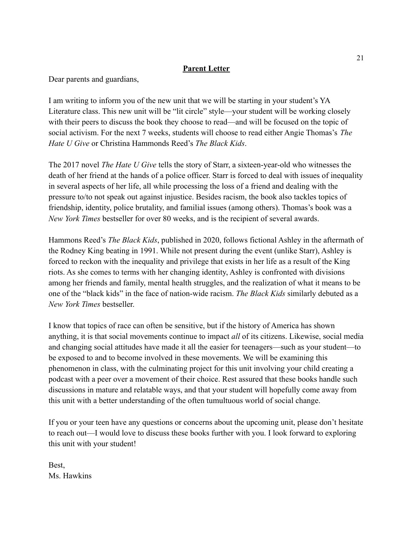#### **Parent Letter**

Dear parents and guardians,

I am writing to inform you of the new unit that we will be starting in your student's YA Literature class. This new unit will be "lit circle" style—your student will be working closely with their peers to discuss the book they choose to read—and will be focused on the topic of social activism. For the next 7 weeks, students will choose to read either Angie Thomas's *The Hate U Give* or Christina Hammonds Reed's *The Black Kids*.

The 2017 novel *The Hate U Give* tells the story of Starr, a sixteen-year-old who witnesses the death of her friend at the hands of a police officer. Starr is forced to deal with issues of inequality in several aspects of her life, all while processing the loss of a friend and dealing with the pressure to/to not speak out against injustice. Besides racism, the book also tackles topics of friendship, identity, police brutality, and familial issues (among others). Thomas's book was a *New York Times* bestseller for over 80 weeks, and is the recipient of several awards.

Hammons Reed's *The Black Kids*, published in 2020, follows fictional Ashley in the aftermath of the Rodney King beating in 1991. While not present during the event (unlike Starr), Ashley is forced to reckon with the inequality and privilege that exists in her life as a result of the King riots. As she comes to terms with her changing identity, Ashley is confronted with divisions among her friends and family, mental health struggles, and the realization of what it means to be one of the "black kids" in the face of nation-wide racism. *The Black Kids* similarly debuted as a *New York Times* bestseller.

I know that topics of race can often be sensitive, but if the history of America has shown anything, it is that social movements continue to impact *all* of its citizens. Likewise, social media and changing social attitudes have made it all the easier for teenagers—such as your student—to be exposed to and to become involved in these movements. We will be examining this phenomenon in class, with the culminating project for this unit involving your child creating a podcast with a peer over a movement of their choice. Rest assured that these books handle such discussions in mature and relatable ways, and that your student will hopefully come away from this unit with a better understanding of the often tumultuous world of social change.

If you or your teen have any questions or concerns about the upcoming unit, please don't hesitate to reach out—I would love to discuss these books further with you. I look forward to exploring this unit with your student!

Best, Ms. Hawkins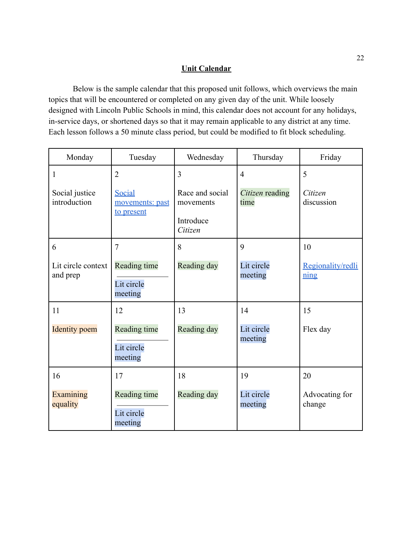### **Unit Calendar**

Below is the sample calendar that this proposed unit follows, which overviews the main topics that will be encountered or completed on any given day of the unit. While loosely designed with Lincoln Public Schools in mind, this calendar does not account for any holidays, in-service days, or shortened days so that it may remain applicable to any district at any time. Each lesson follows a 50 minute class period, but could be modified to fit block scheduling.

| Monday                         | Tuesday                                 | Wednesday                                            | Thursday                | Friday                                                 |
|--------------------------------|-----------------------------------------|------------------------------------------------------|-------------------------|--------------------------------------------------------|
| 1                              | $\overline{2}$                          | $\overline{3}$                                       | $\overline{4}$          | 5                                                      |
| Social justice<br>introduction | Social<br>movements: past<br>to present | Race and social<br>movements<br>Introduce<br>Citizen | Citizen reading<br>time | Citizen<br>discussion                                  |
| 6                              | $\overline{7}$                          | 8                                                    | 9                       | 10                                                     |
| Lit circle context<br>and prep | Reading time<br>Lit circle<br>meeting   | Reading day                                          | Lit circle<br>meeting   | Regionality/redli<br>$\frac{\text{ning}}{\text{ning}}$ |
| 11                             | 12                                      | 13                                                   | 14                      | 15                                                     |
| <b>Identity</b> poem           | Reading time<br>Lit circle<br>meeting   | Reading day                                          | Lit circle<br>meeting   | Flex day                                               |
| 16                             | 17                                      | 18                                                   | 19                      | 20                                                     |
| Examining<br>equality          | Reading time<br>Lit circle<br>meeting   | Reading day                                          | Lit circle<br>meeting   | Advocating for<br>change                               |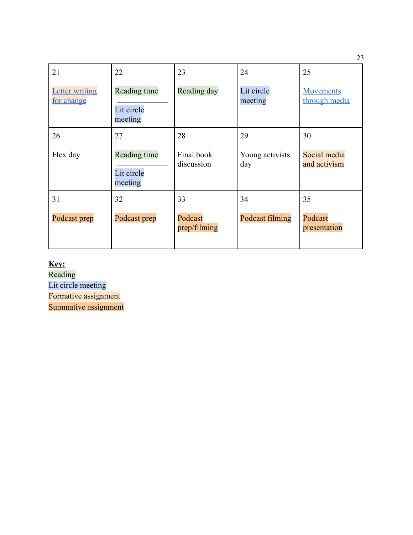| 21                                  | 22                                    | 23                       | 24                     | 25                           |
|-------------------------------------|---------------------------------------|--------------------------|------------------------|------------------------------|
| <b>Letter writing</b><br>for change | Reading time<br>Lit circle<br>meeting | Reading day              | Lit circle<br>meeting  | Movements<br>through media   |
| 26                                  | 27                                    | 28                       | 29                     | 30                           |
| Flex day                            | Reading time<br>Lit circle<br>meeting | Final book<br>discussion | Young activists<br>day | Social media<br>and activism |
| 31                                  | 32                                    | 33                       | 34                     | 35                           |
| Podcast prep                        | Podcast prep                          | Podcast<br>prep/filming  | Podcast filming        | Podcast<br>presentation      |

**Key:**

Reading Lit circle meeting Formative assignment

Summative assignment

23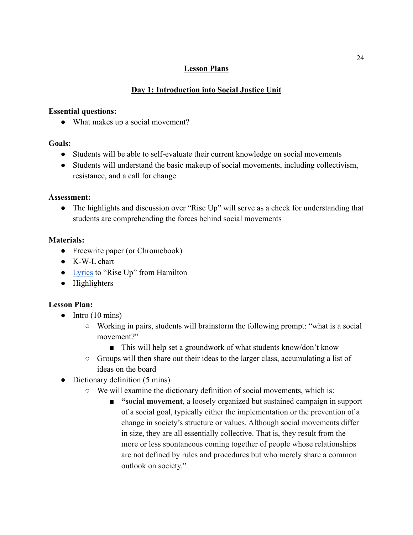### **Lesson Plans**

### **Day 1: Introduction into Social Justice Unit**

#### **Essential questions:**

• What makes up a social movement?

#### **Goals:**

- Students will be able to self-evaluate their current knowledge on social movements
- Students will understand the basic makeup of social movements, including collectivism, resistance, and a call for change

#### **Assessment:**

● The highlights and discussion over "Rise Up" will serve as a check for understanding that students are comprehending the forces behind social movements

### **Materials:**

- Freewrite paper (or Chromebook)
- K-W-L chart
- [Lyrics](https://genius.com/Lin-manuel-miranda-anthony-ramos-daveed-diggs-okieriete-onaodowan-leslie-odom-jr-and-original-broadway-cast-of-hamilton-my-shot-lyrics) to "Rise Up" from Hamilton
- Highlighters

- $\bullet$  Intro (10 mins)
	- Working in pairs, students will brainstorm the following prompt: "what is a social movement?"
		- This will help set a groundwork of what students know/don't know
	- Groups will then share out their ideas to the larger class, accumulating a list of ideas on the board
- Dictionary definition (5 mins)
	- We will examine the dictionary definition of social movements, which is:
		- **"social movement**, a loosely organized but sustained campaign in support of a social goal, typically either the implementation or the prevention of a change in society's structure or values. Although social movements differ in size, they are all essentially collective. That is, they result from the more or less spontaneous coming together of people whose relationships are not defined by rules and procedures but who merely share a common outlook on society."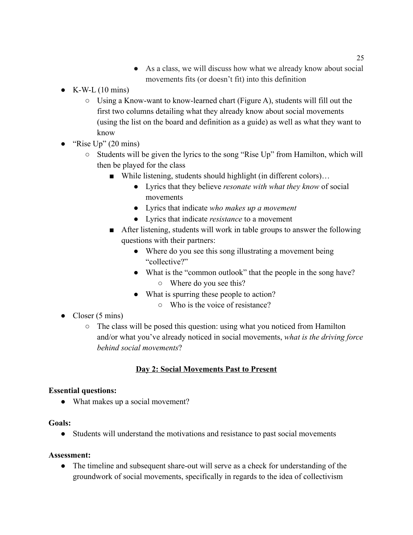- As a class, we will discuss how what we already know about social movements fits (or doesn't fit) into this definition
- $\bullet$  K-W-L (10 mins)
	- $\circ$  Using a Know-want to know-learned chart (Figure A), students will fill out the first two columns detailing what they already know about social movements (using the list on the board and definition as a guide) as well as what they want to know
- "Rise  $Up$ " (20 mins)
	- Students will be given the lyrics to the song "Rise Up" from Hamilton, which will then be played for the class
		- While listening, students should highlight (in different colors)...
			- Lyrics that they believe *resonate with what they know* of social movements
			- Lyrics that indicate *who makes up a movement*
			- Lyrics that indicate *resistance* to a movement
		- After listening, students will work in table groups to answer the following questions with their partners:
			- Where do you see this song illustrating a movement being "collective?"
			- What is the "common outlook" that the people in the song have? ○ Where do you see this?
			- What is spurring these people to action?
				- Who is the voice of resistance?
- Closer  $(5 \text{ mins})$ 
	- The class will be posed this question: using what you noticed from Hamilton and/or what you've already noticed in social movements, *what is the driving force behind social movements*?

### **Day 2: Social Movements Past to Present**

#### **Essential questions:**

• What makes up a social movement?

#### **Goals:**

● Students will understand the motivations and resistance to past social movements

#### **Assessment:**

• The timeline and subsequent share-out will serve as a check for understanding of the groundwork of social movements, specifically in regards to the idea of collectivism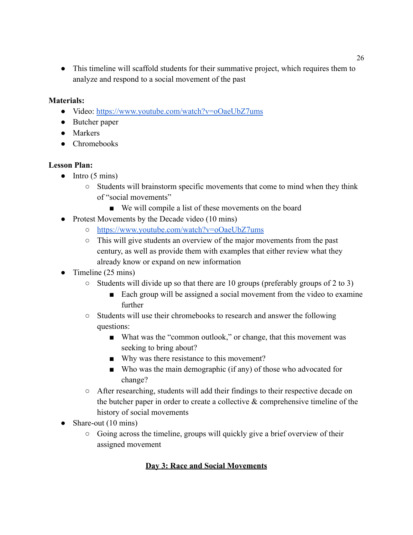● This timeline will scaffold students for their summative project, which requires them to analyze and respond to a social movement of the past

#### **Materials:**

- **●** Video: <https://www.youtube.com/watch?v=oOaeUbZ7ums>
- Butcher paper
- Markers
- Chromebooks

#### **Lesson Plan:**

- **●** Intro (5 mins)
	- Students will brainstorm specific movements that come to mind when they think of "social movements"
		- We will compile a list of these movements on the board
- Protest Movements by the Decade video (10 mins)
	- <https://www.youtube.com/watch?v=oOaeUbZ7ums>
	- This will give students an overview of the major movements from the past century, as well as provide them with examples that either review what they already know or expand on new information
- Timeline (25 mins)
	- Students will divide up so that there are 10 groups (preferably groups of 2 to 3)
		- Each group will be assigned a social movement from the video to examine further
	- Students will use their chromebooks to research and answer the following questions:
		- What was the "common outlook," or change, that this movement was seeking to bring about?
		- Why was there resistance to this movement?
		- Who was the main demographic (if any) of those who advocated for change?
	- After researching, students will add their findings to their respective decade on the butcher paper in order to create a collective  $\&$  comprehensive timeline of the history of social movements
- Share-out (10 mins)
	- Going across the timeline, groups will quickly give a brief overview of their assigned movement

### **Day 3: Race and Social Movements**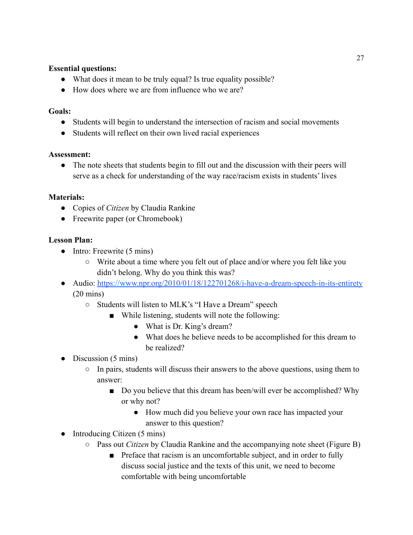#### **Essential questions:**

- What does it mean to be truly equal? Is true equality possible?
- How does where we are from influence who we are?

#### **Goals:**

- Students will begin to understand the intersection of racism and social movements
- Students will reflect on their own lived racial experiences

#### **Assessment:**

• The note sheets that students begin to fill out and the discussion with their peers will serve as a check for understanding of the way race/racism exists in students' lives

#### **Materials:**

- Copies of *Citizen* by Claudia Rankine
- Freewrite paper (or Chromebook)

- **●** Intro: Freewrite (5 mins)
	- **○** Write about a time where you felt out of place and/or where you felt like you didn't belong. Why do you think this was?
- Audio: <https://www.npr.org/2010/01/18/122701268/i-have-a-dream-speech-in-its-entirety> (20 mins)
	- Students will listen to MLK's "I Have a Dream" speech
		- While listening, students will note the following:
			- What is Dr. King's dream?
			- What does he believe needs to be accomplished for this dream to be realized?
- Discussion (5 mins)
	- In pairs, students will discuss their answers to the above questions, using them to answer:
		- Do you believe that this dream has been/will ever be accomplished? Why or why not?
			- How much did you believe your own race has impacted your answer to this question?
- Introducing Citizen (5 mins)
	- Pass out *Citizen* by Claudia Rankine and the accompanying note sheet (Figure B)
		- Preface that racism is an uncomfortable subject, and in order to fully discuss social justice and the texts of this unit, we need to become comfortable with being uncomfortable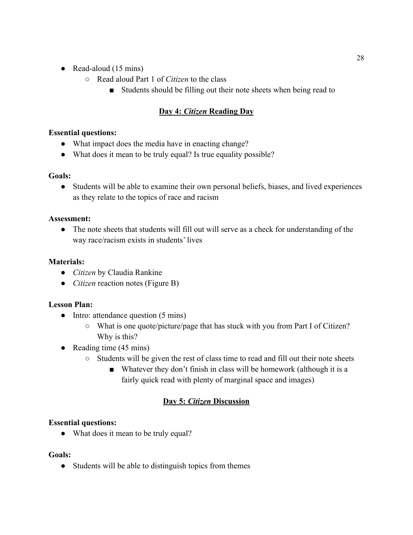- Read-aloud  $(15 \text{ mins})$ 
	- Read aloud Part 1 of *Citizen* to the class
		- Students should be filling out their note sheets when being read to

# **Day 4:** *Citizen* **Reading Day**

#### **Essential questions:**

- What impact does the media have in enacting change?
- What does it mean to be truly equal? Is true equality possible?

### **Goals:**

● Students will be able to examine their own personal beliefs, biases, and lived experiences as they relate to the topics of race and racism

### **Assessment:**

• The note sheets that students will fill out will serve as a check for understanding of the way race/racism exists in students' lives

### **Materials:**

- *Citizen* by Claudia Rankine
- *Citizen* reaction notes (Figure B)

#### **Lesson Plan:**

- Intro: attendance question (5 mins)
	- What is one quote/picture/page that has stuck with you from Part I of Citizen? Why is this?
- Reading time  $(45 \text{ mins})$ 
	- Students will be given the rest of class time to read and fill out their note sheets
		- Whatever they don't finish in class will be homework (although it is a fairly quick read with plenty of marginal space and images)

# **Day 5:** *Citizen* **Discussion**

### **Essential questions:**

• What does it mean to be truly equal?

#### **Goals:**

• Students will be able to distinguish topics from themes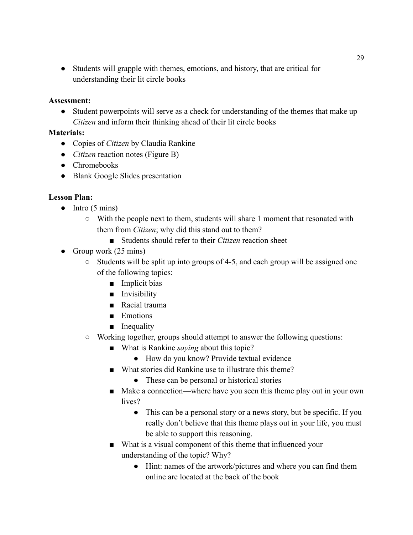• Students will grapple with themes, emotions, and history, that are critical for understanding their lit circle books

#### **Assessment:**

• Student powerpoints will serve as a check for understanding of the themes that make up *Citizen* and inform their thinking ahead of their lit circle books

#### **Materials:**

- Copies of *Citizen* by Claudia Rankine
- *Citizen* reaction notes (Figure B)
- Chromebooks
- Blank Google Slides presentation

- $\bullet$  Intro (5 mins)
	- With the people next to them, students will share 1 moment that resonated with them from *Citizen*; why did this stand out to them?
		- Students should refer to their *Citizen* reaction sheet
- Group work  $(25 \text{ mins})$ 
	- Students will be split up into groups of 4-5, and each group will be assigned one of the following topics:
		- Implicit bias
		- Invisibility
		- Racial trauma
		- Emotions
		- Inequality
	- Working together, groups should attempt to answer the following questions:
		- What is Rankine *saying* about this topic?
			- How do you know? Provide textual evidence
		- What stories did Rankine use to illustrate this theme?
			- These can be personal or historical stories
		- Make a connection—where have you seen this theme play out in your own lives?
			- This can be a personal story or a news story, but be specific. If you really don't believe that this theme plays out in your life, you must be able to support this reasoning.
		- What is a visual component of this theme that influenced your understanding of the topic? Why?
			- Hint: names of the artwork/pictures and where you can find them online are located at the back of the book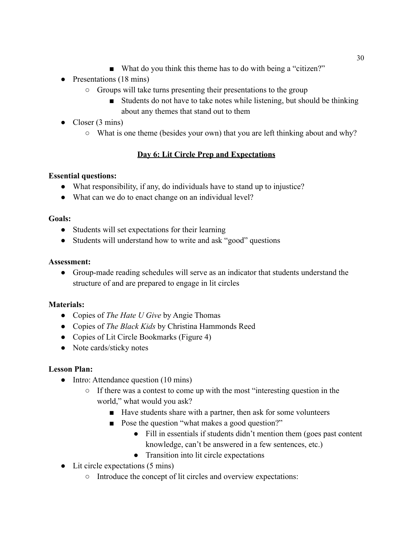- What do you think this theme has to do with being a "citizen?"
- Presentations (18 mins)
	- Groups will take turns presenting their presentations to the group
		- Students do not have to take notes while listening, but should be thinking about any themes that stand out to them
- Closer  $(3 \text{ mins})$ 
	- What is one theme (besides your own) that you are left thinking about and why?

# **Day 6: Lit Circle Prep and Expectations**

### **Essential questions:**

- What responsibility, if any, do individuals have to stand up to injustice?
- What can we do to enact change on an individual level?

#### **Goals:**

- Students will set expectations for their learning
- Students will understand how to write and ask "good" questions

#### **Assessment:**

● Group-made reading schedules will serve as an indicator that students understand the structure of and are prepared to engage in lit circles

#### **Materials:**

- Copies of *The Hate U Give* by Angie Thomas
- Copies of *The Black Kids* by Christina Hammonds Reed
- Copies of Lit Circle Bookmarks (Figure 4)
- Note cards/sticky notes

- Intro: Attendance question (10 mins)
	- If there was a contest to come up with the most "interesting question in the world," what would you ask?
		- Have students share with a partner, then ask for some volunteers
		- Pose the question "what makes a good question?"
			- Fill in essentials if students didn't mention them (goes past content knowledge, can't be answered in a few sentences, etc.)
			- Transition into lit circle expectations
- Lit circle expectations (5 mins)
	- Introduce the concept of lit circles and overview expectations: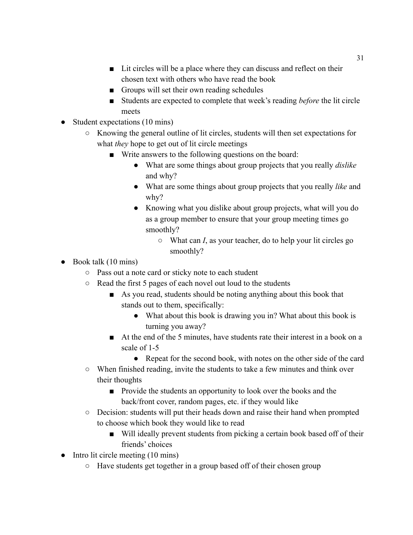- Lit circles will be a place where they can discuss and reflect on their chosen text with others who have read the book
- Groups will set their own reading schedules
- Students are expected to complete that week's reading *before* the lit circle meets
- Student expectations (10 mins)
	- Knowing the general outline of lit circles, students will then set expectations for what *they* hope to get out of lit circle meetings
		- Write answers to the following questions on the board:
			- What are some things about group projects that you really *dislike* and why?
			- What are some things about group projects that you really *like* and why?
			- Knowing what you dislike about group projects, what will you do as a group member to ensure that your group meeting times go smoothly?
				- What can *I*, as your teacher, do to help your lit circles go smoothly?
- $\bullet$  Book talk (10 mins)
	- Pass out a note card or sticky note to each student
	- Read the first 5 pages of each novel out loud to the students
		- As you read, students should be noting anything about this book that stands out to them, specifically:
			- What about this book is drawing you in? What about this book is turning you away?
		- At the end of the 5 minutes, have students rate their interest in a book on a scale of 1-5
			- Repeat for the second book, with notes on the other side of the card
	- When finished reading, invite the students to take a few minutes and think over their thoughts
		- Provide the students an opportunity to look over the books and the back/front cover, random pages, etc. if they would like
	- Decision: students will put their heads down and raise their hand when prompted to choose which book they would like to read
		- Will ideally prevent students from picking a certain book based off of their friends' choices
- Intro lit circle meeting (10 mins)
	- Have students get together in a group based off of their chosen group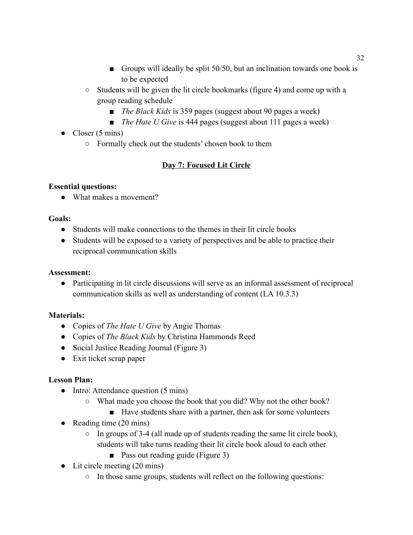- Groups will ideally be split 50/50, but an inclination towards one book is to be expected
- Students will be given the lit circle bookmarks (figure 4) and come up with a group reading schedule
	- *The Black Kids* is 359 pages (suggest about 90 pages a week)
	- *■ The Hate U Give* is 444 pages (suggest about 111 pages a week)
- Closer  $(5 \text{ mins})$ 
	- Formally check out the students' chosen book to them

# **Day 7: Focused Lit Circle**

### **Essential questions:**

• What makes a movement?

# **Goals:**

- Students will make connections to the themes in their lit circle books
- Students will be exposed to a variety of perspectives and be able to practice their reciprocal communication skills

# **Assessment:**

● Participating in lit circle discussions will serve as an informal assessment of reciprocal communication skills as well as understanding of content (LA 10.3.3)

# **Materials:**

- Copies of *The Hate U Give* by Angie Thomas
- Copies of *The Black Kids* by Christina Hammonds Reed
- Social Justice Reading Journal (Figure 3)
- Exit ticket scrap paper

- Intro: Attendance question (5 mins)
	- What made you choose the book that you did? Why not the other book?
		- Have students share with a partner, then ask for some volunteers
- Reading time (20 mins)
	- In groups of 3-4 (all made up of students reading the same lit circle book), students will take turns reading their lit circle book aloud to each other
		- Pass out reading guide (Figure 3)
- Lit circle meeting (20 mins)
	- In those same groups, students will reflect on the following questions: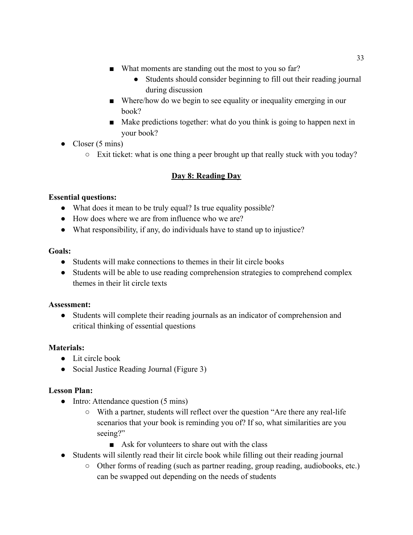- What moments are standing out the most to you so far?
	- Students should consider beginning to fill out their reading journal during discussion
- Where/how do we begin to see equality or inequality emerging in our book?
- Make predictions together: what do you think is going to happen next in your book?
- Closer  $(5 \text{ mins})$ 
	- Exit ticket: what is one thing a peer brought up that really stuck with you today?

# **Day 8: Reading Day**

### **Essential questions:**

- What does it mean to be truly equal? Is true equality possible?
- How does where we are from influence who we are?
- What responsibility, if any, do individuals have to stand up to injustice?

### **Goals:**

- Students will make connections to themes in their lit circle books
- Students will be able to use reading comprehension strategies to comprehend complex themes in their lit circle texts

#### **Assessment:**

● Students will complete their reading journals as an indicator of comprehension and critical thinking of essential questions

### **Materials:**

- Lit circle book
- Social Justice Reading Journal (Figure 3)

- Intro: Attendance question (5 mins)
	- With a partner, students will reflect over the question "Are there any real-life scenarios that your book is reminding you of? If so, what similarities are you seeing?"
		- Ask for volunteers to share out with the class
- Students will silently read their lit circle book while filling out their reading journal
	- Other forms of reading (such as partner reading, group reading, audiobooks, etc.) can be swapped out depending on the needs of students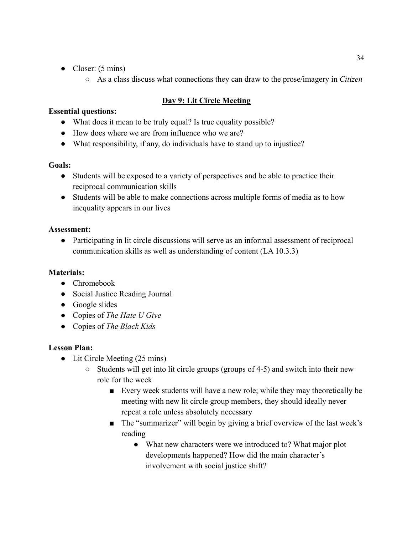- Closer:  $(5 \text{ mins})$ 
	- As a class discuss what connections they can draw to the prose/imagery in *Citizen*

# **Day 9: Lit Circle Meeting**

### **Essential questions:**

- What does it mean to be truly equal? Is true equality possible?
- How does where we are from influence who we are?
- What responsibility, if any, do individuals have to stand up to injustice?

### **Goals:**

- Students will be exposed to a variety of perspectives and be able to practice their reciprocal communication skills
- Students will be able to make connections across multiple forms of media as to how inequality appears in our lives

# **Assessment:**

● Participating in lit circle discussions will serve as an informal assessment of reciprocal communication skills as well as understanding of content (LA 10.3.3)

# **Materials:**

- Chromebook
- Social Justice Reading Journal
- Google slides
- Copies of *The Hate U Give*
- Copies of *The Black Kids*

- Lit Circle Meeting (25 mins)
	- Students will get into lit circle groups (groups of 4-5) and switch into their new role for the week
		- Every week students will have a new role; while they may theoretically be meeting with new lit circle group members, they should ideally never repeat a role unless absolutely necessary
		- The "summarizer" will begin by giving a brief overview of the last week's reading
			- What new characters were we introduced to? What major plot developments happened? How did the main character's involvement with social justice shift?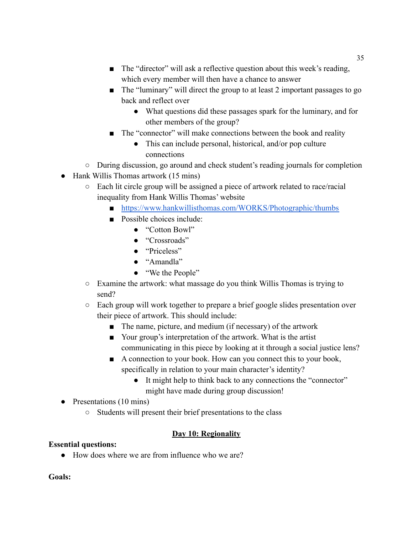- The "director" will ask a reflective question about this week's reading, which every member will then have a chance to answer
- The "luminary" will direct the group to at least 2 important passages to go back and reflect over
	- What questions did these passages spark for the luminary, and for other members of the group?
- The "connector" will make connections between the book and reality
	- This can include personal, historical, and/or pop culture connections
- During discussion, go around and check student's reading journals for completion
- Hank Willis Thomas artwork (15 mins)
	- Each lit circle group will be assigned a piece of artwork related to race/racial inequality from Hank Willis Thomas' website
		- <https://www.hankwillisthomas.com/WORKS/Photographic/thumbs>
		- Possible choices include:
			- "Cotton Bowl"
			- "Crossroads"
			- "Priceless"
			- "Amandla"
			- "We the People"
	- Examine the artwork: what massage do you think Willis Thomas is trying to send?
	- Each group will work together to prepare a brief google slides presentation over their piece of artwork. This should include:
		- The name, picture, and medium (if necessary) of the artwork
		- Your group's interpretation of the artwork. What is the artist communicating in this piece by looking at it through a social justice lens?
		- A connection to your book. How can you connect this to your book, specifically in relation to your main character's identity?
			- It might help to think back to any connections the "connector" might have made during group discussion!
- Presentations (10 mins)
	- Students will present their brief presentations to the class

# **Day 10: Regionality**

# **Essential questions:**

● How does where we are from influence who we are?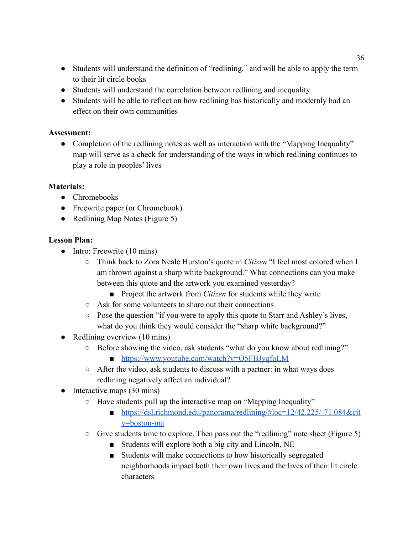- Students will understand the definition of "redlining," and will be able to apply the term to their lit circle books
- Students will understand the correlation between redlining and inequality
- Students will be able to reflect on how redlining has historically and modernly had an effect on their own communities

• Completion of the redlining notes as well as interaction with the "Mapping Inequality" map will serve as a check for understanding of the ways in which redlining continues to play a role in peoples' lives

## **Materials:**

- Chromebooks
- Freewrite paper (or Chromebook)
- Redlining Map Notes (Figure 5)

- Intro: Freewrite (10 mins)
	- Think back to Zora Neale Hurston's quote in *Citizen* "I feel most colored when I am thrown against a sharp white background." What connections can you make between this quote and the artwork you examined yesterday?
		- Project the artwork from *Citizen* for students while they write
	- Ask for some volunteers to share out their connections
	- Pose the question "if you were to apply this quote to Starr and Ashley's lives, what do you think they would consider the "sharp white background?"
- Redlining overview (10 mins)
	- Before showing the video, ask students "what do you know about redlining?" ■ <https://www.youtube.com/watch?v=O5FBJyqfoLM>
	- After the video, ask students to discuss with a partner: in what ways does redlining negatively affect an individual?
- $\bullet$  Interactive maps (30 mins)
	- Have students pull up the interactive map on "Mapping Inequality"
		- [https://dsl.richmond.edu/panorama/redlining/#loc=12/42.225/-71.084&cit](https://dsl.richmond.edu/panorama/redlining/#loc=12/42.225/-71.084&city=boston-ma) [y=boston-ma](https://dsl.richmond.edu/panorama/redlining/#loc=12/42.225/-71.084&city=boston-ma)
	- Give students time to explore. Then pass out the "redlining" note sheet (Figure 5)
		- Students will explore both a big city and Lincoln, NE
		- Students will make connections to how historically segregated neighborhoods impact both their own lives and the lives of their lit circle characters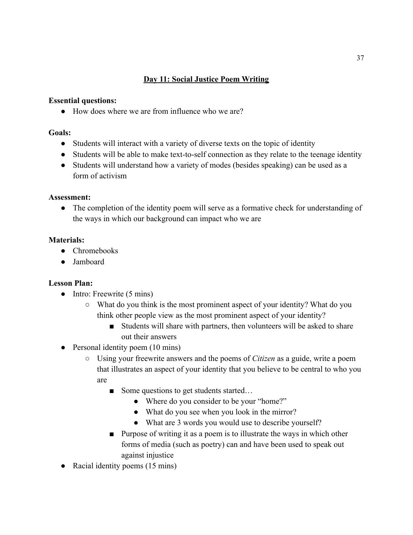## **Day 11: Social Justice Poem Writing**

### **Essential questions:**

● How does where we are from influence who we are?

### **Goals:**

- Students will interact with a variety of diverse texts on the topic of identity
- Students will be able to make text-to-self connection as they relate to the teenage identity
- Students will understand how a variety of modes (besides speaking) can be used as a form of activism

## **Assessment:**

• The completion of the identity poem will serve as a formative check for understanding of the ways in which our background can impact who we are

## **Materials:**

- Chromebooks
- Jamboard

- Intro: Freewrite (5 mins)
	- What do you think is the most prominent aspect of your identity? What do you think other people view as the most prominent aspect of your identity?
		- Students will share with partners, then volunteers will be asked to share out their answers
- Personal identity poem (10 mins)
	- Using your freewrite answers and the poems of *Citizen* as a guide, write a poem that illustrates an aspect of your identity that you believe to be central to who you are
		- Some questions to get students started...
			- Where do you consider to be your "home?"
			- What do you see when you look in the mirror?
			- What are 3 words you would use to describe yourself?
		- Purpose of writing it as a poem is to illustrate the ways in which other forms of media (such as poetry) can and have been used to speak out against injustice
- Racial identity poems (15 mins)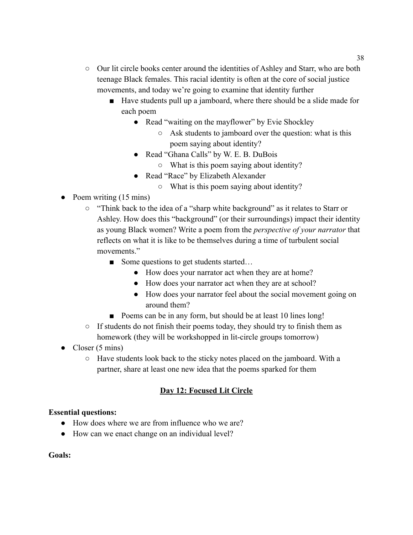- Our lit circle books center around the identities of Ashley and Starr, who are both teenage Black females. This racial identity is often at the core of social justice movements, and today we're going to examine that identity further
	- Have students pull up a jamboard, where there should be a slide made for each poem
		- Read "waiting on the mayflower" by Evie Shockley
			- Ask students to jamboard over the question: what is this poem saying about identity?
		- Read "Ghana Calls" by W. E. B. DuBois
			- What is this poem saying about identity?
		- Read "Race" by Elizabeth Alexander
			- What is this poem saying about identity?
- Poem writing  $(15 \text{ mins})$ 
	- "Think back to the idea of a "sharp white background" as it relates to Starr or Ashley. How does this "background" (or their surroundings) impact their identity as young Black women? Write a poem from the *perspective of your narrator* that reflects on what it is like to be themselves during a time of turbulent social movements."
		- Some questions to get students started...
			- How does your narrator act when they are at home?
			- How does your narrator act when they are at school?
			- How does your narrator feel about the social movement going on around them?
		- Poems can be in any form, but should be at least 10 lines long!
	- $\circ$  If students do not finish their poems today, they should try to finish them as homework (they will be workshopped in lit-circle groups tomorrow)
- Closer  $(5 \text{ mins})$ 
	- Have students look back to the sticky notes placed on the jamboard. With a partner, share at least one new idea that the poems sparked for them

## **Day 12: Focused Lit Circle**

## **Essential questions:**

- How does where we are from influence who we are?
- How can we enact change on an individual level?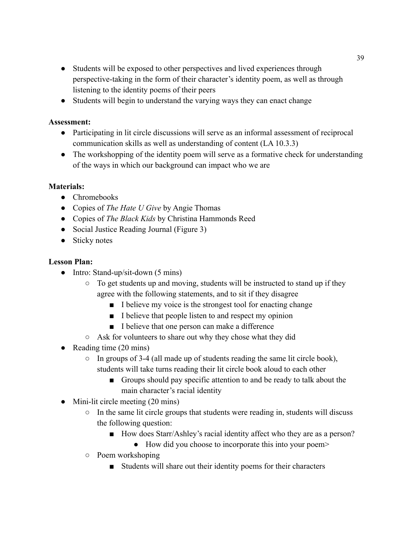- Students will be exposed to other perspectives and lived experiences through perspective-taking in the form of their character's identity poem, as well as through listening to the identity poems of their peers
- Students will begin to understand the varying ways they can enact change

- Participating in lit circle discussions will serve as an informal assessment of reciprocal communication skills as well as understanding of content (LA 10.3.3)
- The workshopping of the identity poem will serve as a formative check for understanding of the ways in which our background can impact who we are

### **Materials:**

- Chromebooks
- Copies of *The Hate U Give* by Angie Thomas
- Copies of *The Black Kids* by Christina Hammonds Reed
- Social Justice Reading Journal (Figure 3)
- Sticky notes

- Intro: Stand-up/sit-down (5 mins)
	- To get students up and moving, students will be instructed to stand up if they agree with the following statements, and to sit if they disagree
		- I believe my voice is the strongest tool for enacting change
		- I believe that people listen to and respect my opinion
		- I believe that one person can make a difference
	- Ask for volunteers to share out why they chose what they did
- Reading time (20 mins)
	- $\circ$  In groups of 3-4 (all made up of students reading the same lit circle book), students will take turns reading their lit circle book aloud to each other
		- Groups should pay specific attention to and be ready to talk about the main character's racial identity
- $\bullet$  Mini-lit circle meeting (20 mins)
	- In the same lit circle groups that students were reading in, students will discuss the following question:
		- How does Starr/Ashley's racial identity affect who they are as a person?
			- How did you choose to incorporate this into your poem>
	- Poem workshoping
		- Students will share out their identity poems for their characters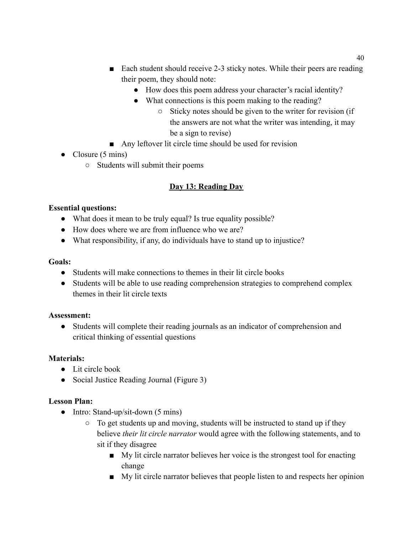- Each student should receive 2-3 sticky notes. While their peers are reading their poem, they should note:
	- How does this poem address your character's racial identity?
	- What connections is this poem making to the reading?
		- Sticky notes should be given to the writer for revision (if the answers are not what the writer was intending, it may be a sign to revise)
- Any leftover lit circle time should be used for revision

# • Closure (5 mins)

○ Students will submit their poems

# **Day 13: Reading Day**

# **Essential questions:**

- What does it mean to be truly equal? Is true equality possible?
- How does where we are from influence who we are?
- What responsibility, if any, do individuals have to stand up to injustice?

## **Goals:**

- Students will make connections to themes in their lit circle books
- Students will be able to use reading comprehension strategies to comprehend complex themes in their lit circle texts

## **Assessment:**

● Students will complete their reading journals as an indicator of comprehension and critical thinking of essential questions

# **Materials:**

- Lit circle book
- Social Justice Reading Journal (Figure 3)

- Intro: Stand-up/sit-down (5 mins)
	- To get students up and moving, students will be instructed to stand up if they believe *their lit circle narrator* would agree with the following statements, and to sit if they disagree
		- My lit circle narrator believes her voice is the strongest tool for enacting change
		- My lit circle narrator believes that people listen to and respects her opinion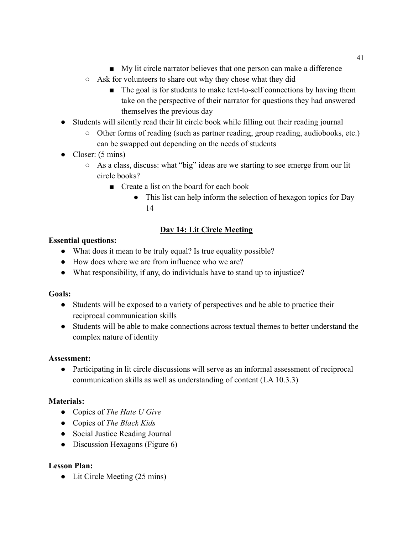- My lit circle narrator believes that one person can make a difference
- Ask for volunteers to share out why they chose what they did
	- The goal is for students to make text-to-self connections by having them take on the perspective of their narrator for questions they had answered themselves the previous day
- Students will silently read their lit circle book while filling out their reading journal
	- Other forms of reading (such as partner reading, group reading, audiobooks, etc.) can be swapped out depending on the needs of students
- Closer:  $(5 \text{ mins})$ 
	- As a class, discuss: what "big" ideas are we starting to see emerge from our lit circle books?
		- Create a list on the board for each book
			- This list can help inform the selection of hexagon topics for Day 14

# **Day 14: Lit Circle Meeting**

## **Essential questions:**

- What does it mean to be truly equal? Is true equality possible?
- How does where we are from influence who we are?
- What responsibility, if any, do individuals have to stand up to injustice?

# **Goals:**

- Students will be exposed to a variety of perspectives and be able to practice their reciprocal communication skills
- Students will be able to make connections across textual themes to better understand the complex nature of identity

## **Assessment:**

● Participating in lit circle discussions will serve as an informal assessment of reciprocal communication skills as well as understanding of content (LA 10.3.3)

# **Materials:**

- Copies of *The Hate U Give*
- Copies of *The Black Kids*
- Social Justice Reading Journal
- Discussion Hexagons (Figure 6)

# **Lesson Plan:**

• Lit Circle Meeting (25 mins)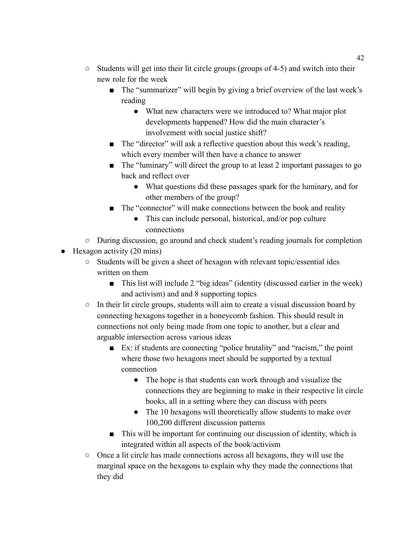- Students will get into their lit circle groups (groups of 4-5) and switch into their new role for the week
	- The "summarizer" will begin by giving a brief overview of the last week's reading
		- What new characters were we introduced to? What major plot developments happened? How did the main character's involvement with social justice shift?
	- The "director" will ask a reflective question about this week's reading, which every member will then have a chance to answer
	- The "luminary" will direct the group to at least 2 important passages to go back and reflect over
		- What questions did these passages spark for the luminary, and for other members of the group?
	- The "connector" will make connections between the book and reality
		- This can include personal, historical, and/or pop culture connections
- During discussion, go around and check student's reading journals for completion
- $\bullet$  Hexagon activity (20 mins)
	- Students will be given a sheet of hexagon with relevant topic/essential ides written on them
		- This list will include 2 "big ideas" (identity (discussed earlier in the week) and activism) and and 8 supporting topics
	- In their lit circle groups, students will aim to create a visual discussion board by connecting hexagons together in a honeycomb fashion. This should result in connections not only being made from one topic to another, but a clear and arguable intersection across various ideas
		- Ex: if students are connecting "police brutality" and "racism," the point where those two hexagons meet should be supported by a textual connection
			- The hope is that students can work through and visualize the connections they are beginning to make in their respective lit circle books, all in a setting where they can discuss with peers
			- The 10 hexagons will theoretically allow students to make over 100,200 different discussion patterns
		- This will be important for continuing our discussion of identity, which is integrated within all aspects of the book/activism
	- Once a lit circle has made connections across all hexagons, they will use the marginal space on the hexagons to explain why they made the connections that they did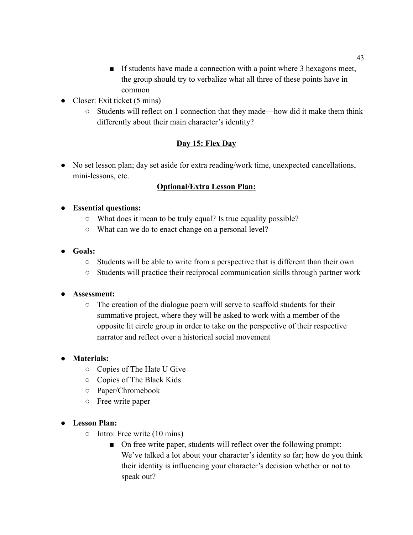- If students have made a connection with a point where 3 hexagons meet, the group should try to verbalize what all three of these points have in common
- Closer: Exit ticket (5 mins)
	- Students will reflect on 1 connection that they made—how did it make them think differently about their main character's identity?

# **Day 15: Flex Day**

• No set lesson plan; day set aside for extra reading/work time, unexpected cancellations, mini-lessons, etc.

# **Optional/Extra Lesson Plan:**

## **● Essential questions:**

- What does it mean to be truly equal? Is true equality possible?
- What can we do to enact change on a personal level?
- **● Goals:**
	- Students will be able to write from a perspective that is different than their own
	- Students will practice their reciprocal communication skills through partner work

## **● Assessment:**

○ The creation of the dialogue poem will serve to scaffold students for their summative project, where they will be asked to work with a member of the opposite lit circle group in order to take on the perspective of their respective narrator and reflect over a historical social movement

## **● Materials:**

- Copies of The Hate U Give
- Copies of The Black Kids
- Paper/Chromebook
- Free write paper

- Intro: Free write (10 mins)
	- On free write paper, students will reflect over the following prompt: We've talked a lot about your character's identity so far; how do you think their identity is influencing your character's decision whether or not to speak out?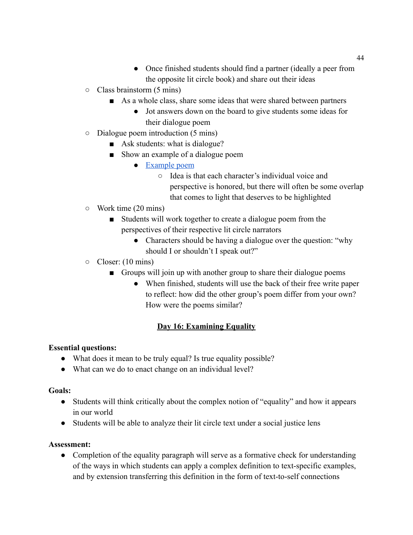- Once finished students should find a partner (ideally a peer from the opposite lit circle book) and share out their ideas
- $\circ$  Class brainstorm (5 mins)
	- As a whole class, share some ideas that were shared between partners
		- Jot answers down on the board to give students some ideas for their dialogue poem
- Dialogue poem introduction (5 mins)
	- Ask students: what is dialogue?
	- Show an example of a dialogue poem
		- [Example poem](https://www.alvordschools.org/cms/lib/CA01900929/Centricity/Domain/3012/Poem%20for%20Two%20Voices%20Veteran%20and%20Soldier.jpg)
			- Idea is that each character's individual voice and perspective is honored, but there will often be some overlap that comes to light that deserves to be highlighted
- Work time (20 mins)
	- Students will work together to create a dialogue poem from the perspectives of their respective lit circle narrators
		- Characters should be having a dialogue over the question: "why should I or shouldn't I speak out?"
- Closer: (10 mins)
	- Groups will join up with another group to share their dialogue poems
		- When finished, students will use the back of their free write paper to reflect: how did the other group's poem differ from your own? How were the poems similar?

# **Day 16: Examining Equality**

## **Essential questions:**

- What does it mean to be truly equal? Is true equality possible?
- What can we do to enact change on an individual level?

#### **Goals:**

- Students will think critically about the complex notion of "equality" and how it appears in our world
- Students will be able to analyze their lit circle text under a social justice lens

#### **Assessment:**

• Completion of the equality paragraph will serve as a formative check for understanding of the ways in which students can apply a complex definition to text-specific examples, and by extension transferring this definition in the form of text-to-self connections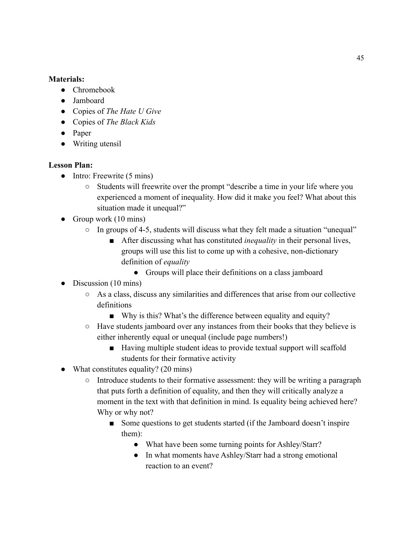### **Materials:**

- Chromebook
- Jamboard
- Copies of *The Hate U Give*
- Copies of *The Black Kids*
- Paper
- Writing utensil

- $\bullet$  Intro: Freewrite (5 mins)
	- Students will freewrite over the prompt "describe a time in your life where you experienced a moment of inequality. How did it make you feel? What about this situation made it unequal?"
- Group work  $(10 \text{ mins})$ 
	- In groups of 4-5, students will discuss what they felt made a situation "unequal"
		- After discussing what has constituted *inequality* in their personal lives, groups will use this list to come up with a cohesive, non-dictionary definition of *equality*
			- Groups will place their definitions on a class jamboard
- Discussion (10 mins)
	- As a class, discuss any similarities and differences that arise from our collective definitions
		- Why is this? What's the difference between equality and equity?
	- Have students jamboard over any instances from their books that they believe is either inherently equal or unequal (include page numbers!)
		- Having multiple student ideas to provide textual support will scaffold students for their formative activity
- What constitutes equality? (20 mins)
	- Introduce students to their formative assessment: they will be writing a paragraph that puts forth a definition of equality, and then they will critically analyze a moment in the text with that definition in mind. Is equality being achieved here? Why or why not?
		- Some questions to get students started (if the Jamboard doesn't inspire them):
			- What have been some turning points for Ashley/Starr?
			- In what moments have Ashley/Starr had a strong emotional reaction to an event?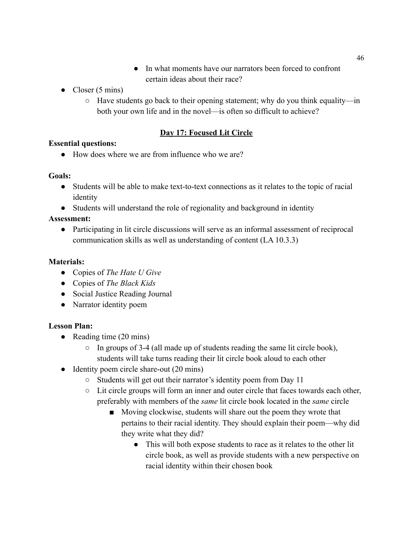- In what moments have our narrators been forced to confront certain ideas about their race?
- Closer  $(5 \text{ mins})$ 
	- $\circ$  Have students go back to their opening statement; why do you think equality—in both your own life and in the novel—is often so difficult to achieve?

## **Day 17: Focused Lit Circle**

## **Essential questions:**

● How does where we are from influence who we are?

### **Goals:**

- Students will be able to make text-to-text connections as it relates to the topic of racial identity
- Students will understand the role of regionality and background in identity

## **Assessment:**

● Participating in lit circle discussions will serve as an informal assessment of reciprocal communication skills as well as understanding of content (LA 10.3.3)

## **Materials:**

- Copies of *The Hate U Give*
- Copies of *The Black Kids*
- Social Justice Reading Journal
- Narrator identity poem

- Reading time (20 mins)
	- $\circ$  In groups of 3-4 (all made up of students reading the same lit circle book), students will take turns reading their lit circle book aloud to each other
- Identity poem circle share-out (20 mins)
	- Students will get out their narrator's identity poem from Day 11
	- Lit circle groups will form an inner and outer circle that faces towards each other, preferably with members of the *same* lit circle book located in the *same* circle
		- Moving clockwise, students will share out the poem they wrote that pertains to their racial identity. They should explain their poem—why did they write what they did?
			- This will both expose students to race as it relates to the other lit circle book, as well as provide students with a new perspective on racial identity within their chosen book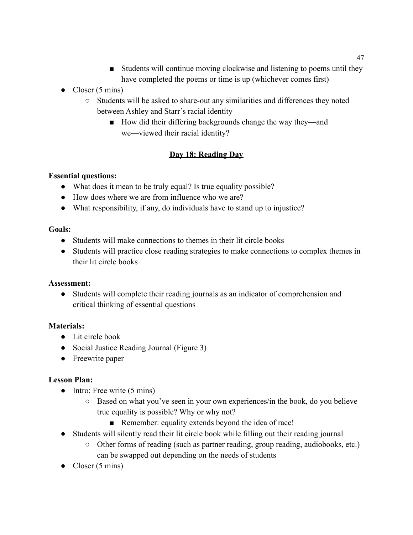- Students will continue moving clockwise and listening to poems until they have completed the poems or time is up (whichever comes first)
- Closer  $(5 \text{ mins})$ 
	- Students will be asked to share-out any similarities and differences they noted between Ashley and Starr's racial identity
		- How did their differing backgrounds change the way they—and we—viewed their racial identity?

# **Day 18: Reading Day**

## **Essential questions:**

- What does it mean to be truly equal? Is true equality possible?
- How does where we are from influence who we are?
- What responsibility, if any, do individuals have to stand up to injustice?

## **Goals:**

- Students will make connections to themes in their lit circle books
- Students will practice close reading strategies to make connections to complex themes in their lit circle books

## **Assessment:**

● Students will complete their reading journals as an indicator of comprehension and critical thinking of essential questions

# **Materials:**

- Lit circle book
- Social Justice Reading Journal (Figure 3)
- Freewrite paper

- $\bullet$  Intro: Free write (5 mins)
	- Based on what you've seen in your own experiences/in the book, do you believe true equality is possible? Why or why not?
		- Remember: equality extends beyond the idea of race!
- Students will silently read their lit circle book while filling out their reading journal
	- Other forms of reading (such as partner reading, group reading, audiobooks, etc.) can be swapped out depending on the needs of students
- Closer  $(5 \text{ mins})$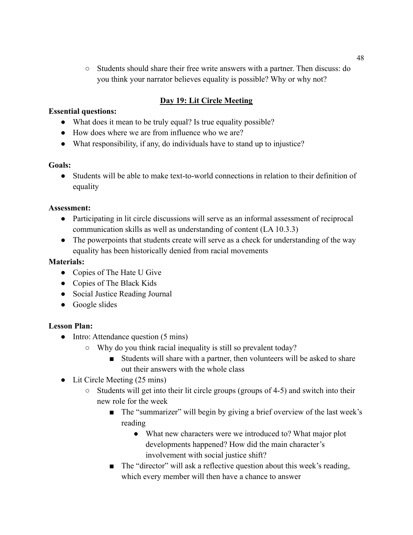○ Students should share their free write answers with a partner. Then discuss: do you think your narrator believes equality is possible? Why or why not?

## **Day 19: Lit Circle Meeting**

### **Essential questions:**

- What does it mean to be truly equal? Is true equality possible?
- How does where we are from influence who we are?
- What responsibility, if any, do individuals have to stand up to injustice?

## **Goals:**

● Students will be able to make text-to-world connections in relation to their definition of equality

### **Assessment:**

- Participating in lit circle discussions will serve as an informal assessment of reciprocal communication skills as well as understanding of content (LA 10.3.3)
- The powerpoints that students create will serve as a check for understanding of the way equality has been historically denied from racial movements

### **Materials:**

- Copies of The Hate U Give
- Copies of The Black Kids
- Social Justice Reading Journal
- Google slides

- Intro: Attendance question (5 mins)
	- Why do you think racial inequality is still so prevalent today?
		- Students will share with a partner, then volunteers will be asked to share out their answers with the whole class
- Lit Circle Meeting (25 mins)
	- Students will get into their lit circle groups (groups of 4-5) and switch into their new role for the week
		- The "summarizer" will begin by giving a brief overview of the last week's reading
			- What new characters were we introduced to? What major plot developments happened? How did the main character's involvement with social justice shift?
		- The "director" will ask a reflective question about this week's reading, which every member will then have a chance to answer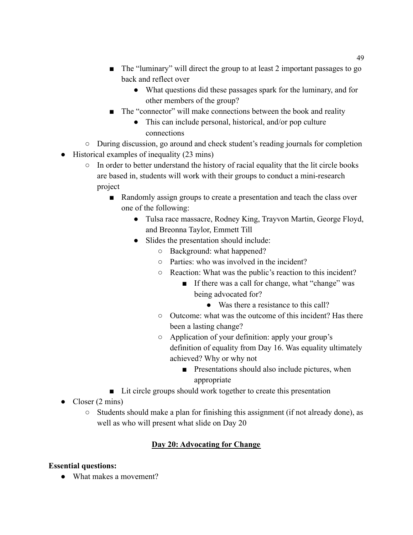- The "luminary" will direct the group to at least 2 important passages to go back and reflect over
	- What questions did these passages spark for the luminary, and for other members of the group?
- The "connector" will make connections between the book and reality
	- This can include personal, historical, and/or pop culture connections
- During discussion, go around and check student's reading journals for completion
- Historical examples of inequality (23 mins)
	- $\circ$  In order to better understand the history of racial equality that the lit circle books are based in, students will work with their groups to conduct a mini-research project
		- Randomly assign groups to create a presentation and teach the class over one of the following:
			- Tulsa race massacre, Rodney King, Trayvon Martin, George Floyd, and Breonna Taylor, Emmett Till
			- Slides the presentation should include:
				- Background: what happened?
				- Parties: who was involved in the incident?
				- Reaction: What was the public's reaction to this incident?
					- If there was a call for change, what "change" was being advocated for?
						- Was there a resistance to this call?
				- Outcome: what was the outcome of this incident? Has there been a lasting change?
				- Application of your definition: apply your group's definition of equality from Day 16. Was equality ultimately achieved? Why or why not
					- Presentations should also include pictures, when appropriate
		- Lit circle groups should work together to create this presentation
- Closer  $(2 \text{ mins})$ 
	- Students should make a plan for finishing this assignment (if not already done), as well as who will present what slide on Day 20

# **Day 20: Advocating for Change**

# **Essential questions:**

● What makes a movement?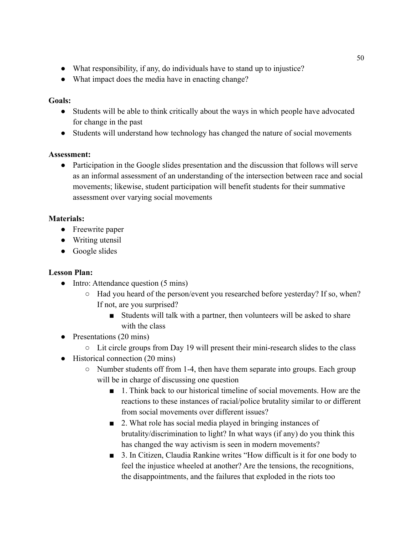- What responsibility, if any, do individuals have to stand up to injustice?
- What impact does the media have in enacting change?

## **Goals:**

- Students will be able to think critically about the ways in which people have advocated for change in the past
- Students will understand how technology has changed the nature of social movements

## **Assessment:**

• Participation in the Google slides presentation and the discussion that follows will serve as an informal assessment of an understanding of the intersection between race and social movements; likewise, student participation will benefit students for their summative assessment over varying social movements

# **Materials:**

- Freewrite paper
- Writing utensil
- Google slides

- Intro: Attendance question (5 mins)
	- Had you heard of the person/event you researched before yesterday? If so, when? If not, are you surprised?
		- Students will talk with a partner, then volunteers will be asked to share with the class
- Presentations (20 mins)
	- Lit circle groups from Day 19 will present their mini-research slides to the class
- Historical connection (20 mins)
	- Number students off from 1-4, then have them separate into groups. Each group will be in charge of discussing one question
		- 1. Think back to our historical timeline of social movements. How are the reactions to these instances of racial/police brutality similar to or different from social movements over different issues?
		- 2. What role has social media played in bringing instances of brutality/discrimination to light? In what ways (if any) do you think this has changed the way activism is seen in modern movements?
		- 3. In Citizen, Claudia Rankine writes "How difficult is it for one body to feel the injustice wheeled at another? Are the tensions, the recognitions, the disappointments, and the failures that exploded in the riots too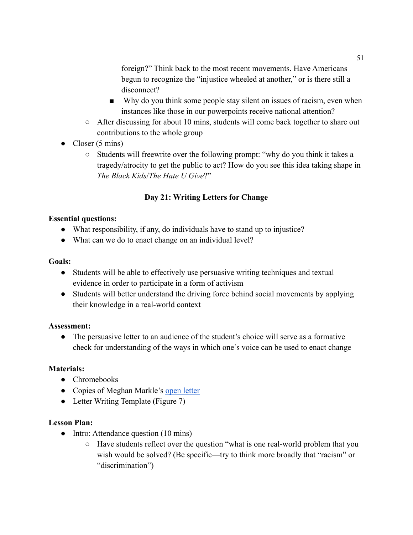foreign?" Think back to the most recent movements. Have Americans begun to recognize the "injustice wheeled at another," or is there still a disconnect?

- Why do you think some people stay silent on issues of racism, even when instances like those in our powerpoints receive national attention?
- After discussing for about 10 mins, students will come back together to share out contributions to the whole group
- Closer  $(5 \text{ mins})$ 
	- Students will freewrite over the following prompt: "why do you think it takes a tragedy/atrocity to get the public to act? How do you see this idea taking shape in *The Black Kids*/*The Hate U Give*?"

# **Day 21: Writing Letters for Change**

## **Essential questions:**

- What responsibility, if any, do individuals have to stand up to injustice?
- What can we do to enact change on an individual level?

### **Goals:**

- Students will be able to effectively use persuasive writing techniques and textual evidence in order to participate in a form of activism
- Students will better understand the driving force behind social movements by applying their knowledge in a real-world context

## **Assessment:**

• The persuasive letter to an audience of the student's choice will serve as a formative check for understanding of the ways in which one's voice can be used to enact change

## **Materials:**

- Chromebooks
- Copies of Meghan Markle's [open letter](https://paidleaveforall.org/theduchessofsussex/)
- Letter Writing Template (Figure 7)

- Intro: Attendance question (10 mins)
	- Have students reflect over the question "what is one real-world problem that you wish would be solved? (Be specific—try to think more broadly that "racism" or "discrimination")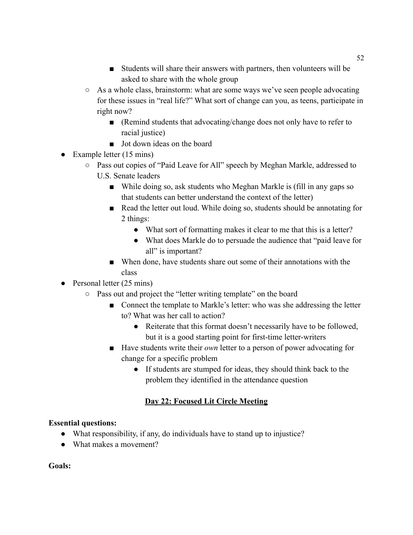- Students will share their answers with partners, then volunteers will be asked to share with the whole group
- As a whole class, brainstorm: what are some ways we've seen people advocating for these issues in "real life?" What sort of change can you, as teens, participate in right now?
	- (Remind students that advocating/change does not only have to refer to racial justice)
	- Jot down ideas on the board
- Example letter  $(15 \text{ mins})$ 
	- Pass out copies of "Paid Leave for All" speech by Meghan Markle, addressed to U.S. Senate leaders
		- While doing so, ask students who Meghan Markle is (fill in any gaps so that students can better understand the context of the letter)
		- Read the letter out loud. While doing so, students should be annotating for 2 things:
			- What sort of formatting makes it clear to me that this is a letter?
			- What does Markle do to persuade the audience that "paid leave for all" is important?
		- When done, have students share out some of their annotations with the class
- Personal letter (25 mins)
	- Pass out and project the "letter writing template" on the board
		- Connect the template to Markle's letter: who was she addressing the letter to? What was her call to action?
			- Reiterate that this format doesn't necessarily have to be followed, but it is a good starting point for first-time letter-writers
		- Have students write their *own* letter to a person of power advocating for change for a specific problem
			- If students are stumped for ideas, they should think back to the problem they identified in the attendance question

# **Day 22: Focused Lit Circle Meeting**

## **Essential questions:**

- What responsibility, if any, do individuals have to stand up to injustice?
- What makes a movement?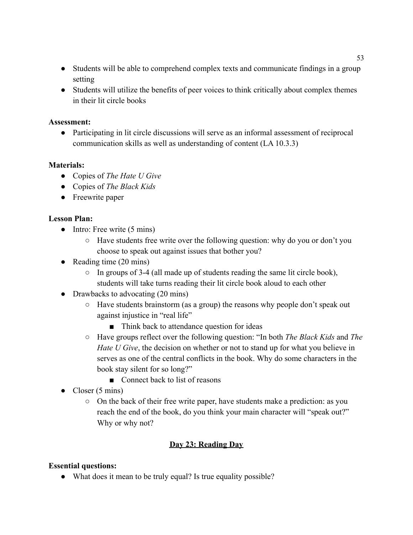- Students will be able to comprehend complex texts and communicate findings in a group setting
- Students will utilize the benefits of peer voices to think critically about complex themes in their lit circle books

● Participating in lit circle discussions will serve as an informal assessment of reciprocal communication skills as well as understanding of content (LA 10.3.3)

### **Materials:**

- Copies of *The Hate U Give*
- Copies of *The Black Kids*
- Freewrite paper

### **Lesson Plan:**

- $\bullet$  Intro: Free write (5 mins)
	- Have students free write over the following question: why do you or don't you choose to speak out against issues that bother you?
- Reading time  $(20 \text{ mins})$ 
	- $\circ$  In groups of 3-4 (all made up of students reading the same lit circle book), students will take turns reading their lit circle book aloud to each other
- Drawbacks to advocating (20 mins)
	- $\circ$  Have students brainstorm (as a group) the reasons why people don't speak out against injustice in "real life"
		- Think back to attendance question for ideas
	- Have groups reflect over the following question: "In both *The Black Kids* and *The Hate U Give*, the decision on whether or not to stand up for what you believe in serves as one of the central conflicts in the book. Why do some characters in the book stay silent for so long?"
		- Connect back to list of reasons
- Closer  $(5 \text{ mins})$ 
	- On the back of their free write paper, have students make a prediction: as you reach the end of the book, do you think your main character will "speak out?" Why or why not?

## **Day 23: Reading Day**

#### **Essential questions:**

• What does it mean to be truly equal? Is true equality possible?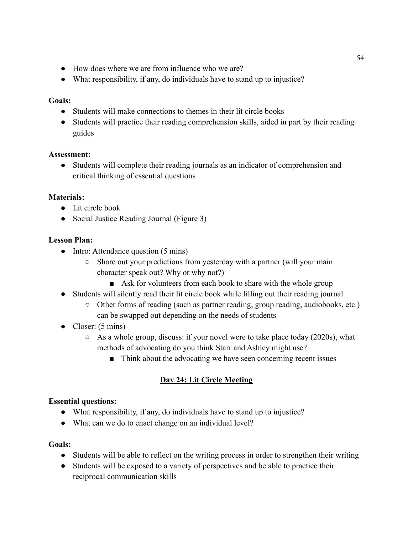- How does where we are from influence who we are?
- What responsibility, if any, do individuals have to stand up to injustice?

### **Goals:**

- Students will make connections to themes in their lit circle books
- Students will practice their reading comprehension skills, aided in part by their reading guides

### **Assessment:**

● Students will complete their reading journals as an indicator of comprehension and critical thinking of essential questions

## **Materials:**

- Lit circle book
- Social Justice Reading Journal (Figure 3)

## **Lesson Plan:**

- Intro: Attendance question (5 mins)
	- Share out your predictions from yesterday with a partner (will your main character speak out? Why or why not?)
		- Ask for volunteers from each book to share with the whole group
- Students will silently read their lit circle book while filling out their reading journal
	- Other forms of reading (such as partner reading, group reading, audiobooks, etc.) can be swapped out depending on the needs of students
- Closer:  $(5 \text{ mins})$ 
	- $\circ$  As a whole group, discuss: if your novel were to take place today (2020s), what methods of advocating do you think Starr and Ashley might use?
		- Think about the advocating we have seen concerning recent issues

## **Day 24: Lit Circle Meeting**

#### **Essential questions:**

- What responsibility, if any, do individuals have to stand up to injustice?
- What can we do to enact change on an individual level?

- Students will be able to reflect on the writing process in order to strengthen their writing
- Students will be exposed to a variety of perspectives and be able to practice their reciprocal communication skills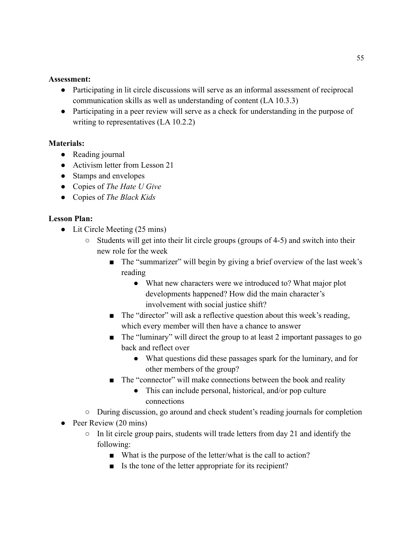- Participating in lit circle discussions will serve as an informal assessment of reciprocal communication skills as well as understanding of content (LA 10.3.3)
- Participating in a peer review will serve as a check for understanding in the purpose of writing to representatives (LA 10.2.2)

## **Materials:**

- Reading journal
- Activism letter from Lesson 21
- Stamps and envelopes
- Copies of *The Hate U Give*
- Copies of *The Black Kids*

- Lit Circle Meeting (25 mins)
	- Students will get into their lit circle groups (groups of 4-5) and switch into their new role for the week
		- The "summarizer" will begin by giving a brief overview of the last week's reading
			- What new characters were we introduced to? What major plot developments happened? How did the main character's involvement with social justice shift?
		- The "director" will ask a reflective question about this week's reading, which every member will then have a chance to answer
		- The "luminary" will direct the group to at least 2 important passages to go back and reflect over
			- What questions did these passages spark for the luminary, and for other members of the group?
		- The "connector" will make connections between the book and reality
			- This can include personal, historical, and/or pop culture connections
	- During discussion, go around and check student's reading journals for completion
- Peer Review (20 mins)
	- $\circ$  In lit circle group pairs, students will trade letters from day 21 and identify the following:
		- What is the purpose of the letter/what is the call to action?
		- Is the tone of the letter appropriate for its recipient?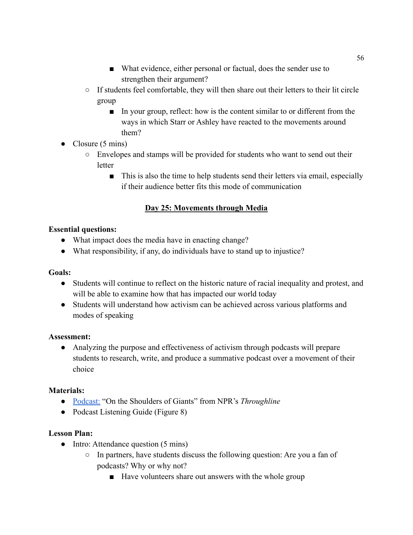- What evidence, either personal or factual, does the sender use to strengthen their argument?
- If students feel comfortable, they will then share out their letters to their lit circle group
	- In your group, reflect: how is the content similar to or different from the ways in which Starr or Ashley have reacted to the movements around them?
- Closure (5 mins)
	- Envelopes and stamps will be provided for students who want to send out their **letter** 
		- This is also the time to help students send their letters via email, especially if their audience better fits this mode of communication

# **Day 25: Movements through Media**

## **Essential questions:**

- What impact does the media have in enacting change?
- What responsibility, if any, do individuals have to stand up to injustice?

## **Goals:**

- Students will continue to reflect on the historic nature of racial inequality and protest, and will be able to examine how that has impacted our world today
- Students will understand how activism can be achieved across various platforms and modes of speaking

## **Assessment:**

● Analyzing the purpose and effectiveness of activism through podcasts will prepare students to research, write, and produce a summative podcast over a movement of their choice

# **Materials:**

- [Podcast:](https://www.npr.org/2019/02/12/693878396/on-the-shoulders-of-giants) "On the Shoulders of Giants" from NPR's *Throughline*
- Podcast Listening Guide (Figure 8)

- Intro: Attendance question (5 mins)
	- In partners, have students discuss the following question: Are you a fan of podcasts? Why or why not?
		- Have volunteers share out answers with the whole group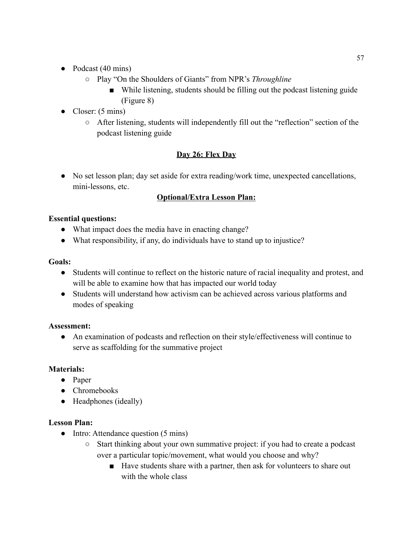- Podcast (40 mins)
	- Play "On the Shoulders of Giants" from NPR's *Throughline*
		- While listening, students should be filling out the podcast listening guide (Figure 8)
- $\bullet$  Closer: (5 mins)
	- After listening, students will independently fill out the "reflection" section of the podcast listening guide

# **Day 26: Flex Day**

● No set lesson plan; day set aside for extra reading/work time, unexpected cancellations, mini-lessons, etc.

# **Optional/Extra Lesson Plan:**

## **Essential questions:**

- What impact does the media have in enacting change?
- What responsibility, if any, do individuals have to stand up to injustice?

## **Goals:**

- Students will continue to reflect on the historic nature of racial inequality and protest, and will be able to examine how that has impacted our world today
- Students will understand how activism can be achieved across various platforms and modes of speaking

## **Assessment:**

● An examination of podcasts and reflection on their style/effectiveness will continue to serve as scaffolding for the summative project

## **Materials:**

- Paper
- Chromebooks
- Headphones (ideally)

- Intro: Attendance question (5 mins)
	- Start thinking about your own summative project: if you had to create a podcast over a particular topic/movement, what would you choose and why?
		- Have students share with a partner, then ask for volunteers to share out with the whole class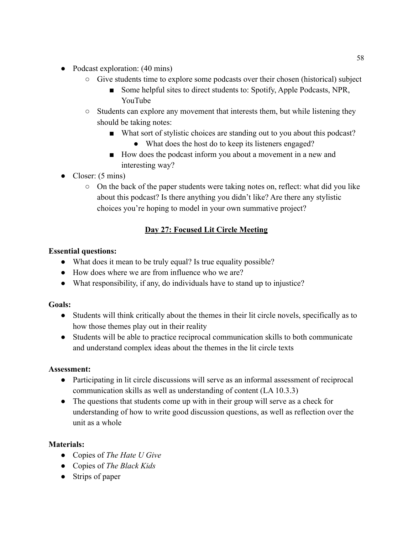- Podcast exploration: (40 mins)
	- Give students time to explore some podcasts over their chosen (historical) subject
		- Some helpful sites to direct students to: Spotify, Apple Podcasts, NPR, YouTube
	- Students can explore any movement that interests them, but while listening they should be taking notes:
		- What sort of stylistic choices are standing out to you about this podcast?
			- What does the host do to keep its listeners engaged?
		- How does the podcast inform you about a movement in a new and interesting way?
- Closer: (5 mins)
	- $\circ$  On the back of the paper students were taking notes on, reflect: what did you like about this podcast? Is there anything you didn't like? Are there any stylistic choices you're hoping to model in your own summative project?

# **Day 27: Focused Lit Circle Meeting**

## **Essential questions:**

- What does it mean to be truly equal? Is true equality possible?
- How does where we are from influence who we are?
- What responsibility, if any, do individuals have to stand up to injustice?

## **Goals:**

- Students will think critically about the themes in their lit circle novels, specifically as to how those themes play out in their reality
- Students will be able to practice reciprocal communication skills to both communicate and understand complex ideas about the themes in the lit circle texts

## **Assessment:**

- Participating in lit circle discussions will serve as an informal assessment of reciprocal communication skills as well as understanding of content (LA 10.3.3)
- The questions that students come up with in their group will serve as a check for understanding of how to write good discussion questions, as well as reflection over the unit as a whole

# **Materials:**

- Copies of *The Hate U Give*
- Copies of *The Black Kids*
- Strips of paper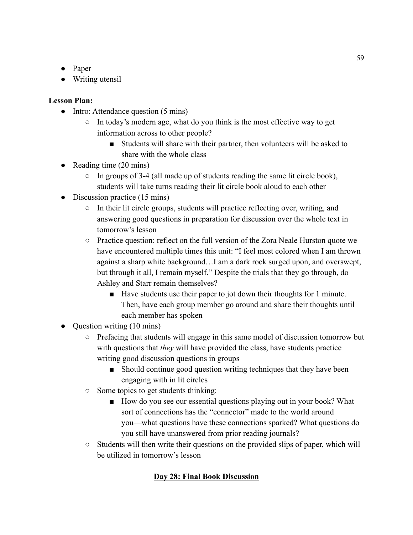- Paper
- Writing utensil

# **Lesson Plan:**

- Intro: Attendance question (5 mins)
	- In today's modern age, what do you think is the most effective way to get information across to other people?
		- Students will share with their partner, then volunteers will be asked to share with the whole class
- Reading time  $(20 \text{ mins})$ 
	- $\circ$  In groups of 3-4 (all made up of students reading the same lit circle book), students will take turns reading their lit circle book aloud to each other
- Discussion practice (15 mins)
	- In their lit circle groups, students will practice reflecting over, writing, and answering good questions in preparation for discussion over the whole text in tomorrow's lesson
	- Practice question: reflect on the full version of the Zora Neale Hurston quote we have encountered multiple times this unit: "I feel most colored when I am thrown against a sharp white background…I am a dark rock surged upon, and overswept, but through it all, I remain myself." Despite the trials that they go through, do Ashley and Starr remain themselves?
		- Have students use their paper to jot down their thoughts for 1 minute. Then, have each group member go around and share their thoughts until each member has spoken
- Question writing (10 mins)
	- Prefacing that students will engage in this same model of discussion tomorrow but with questions that *they* will have provided the class, have students practice writing good discussion questions in groups
		- Should continue good question writing techniques that they have been engaging with in lit circles
	- Some topics to get students thinking:
		- How do you see our essential questions playing out in your book? What sort of connections has the "connector" made to the world around you—what questions have these connections sparked? What questions do you still have unanswered from prior reading journals?
	- Students will then write their questions on the provided slips of paper, which will be utilized in tomorrow's lesson

# **Day 28: Final Book Discussion**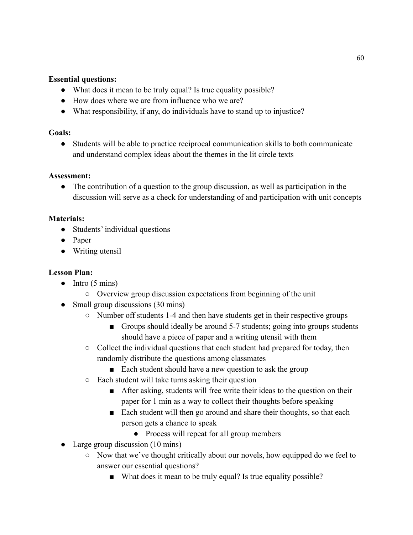### **Essential questions:**

- What does it mean to be truly equal? Is true equality possible?
- How does where we are from influence who we are?
- What responsibility, if any, do individuals have to stand up to injustice?

### **Goals:**

● Students will be able to practice reciprocal communication skills to both communicate and understand complex ideas about the themes in the lit circle texts

### **Assessment:**

● The contribution of a question to the group discussion, as well as participation in the discussion will serve as a check for understanding of and participation with unit concepts

## **Materials:**

- Students' individual questions
- Paper
- Writing utensil

- $\bullet$  Intro (5 mins)
	- Overview group discussion expectations from beginning of the unit
- Small group discussions (30 mins)
	- Number off students 1-4 and then have students get in their respective groups
		- Groups should ideally be around 5-7 students; going into groups students should have a piece of paper and a writing utensil with them
	- Collect the individual questions that each student had prepared for today, then randomly distribute the questions among classmates
		- Each student should have a new question to ask the group
	- Each student will take turns asking their question
		- After asking, students will free write their ideas to the question on their paper for 1 min as a way to collect their thoughts before speaking
		- Each student will then go around and share their thoughts, so that each person gets a chance to speak
			- Process will repeat for all group members
- Large group discussion (10 mins)
	- Now that we've thought critically about our novels, how equipped do we feel to answer our essential questions?
		- What does it mean to be truly equal? Is true equality possible?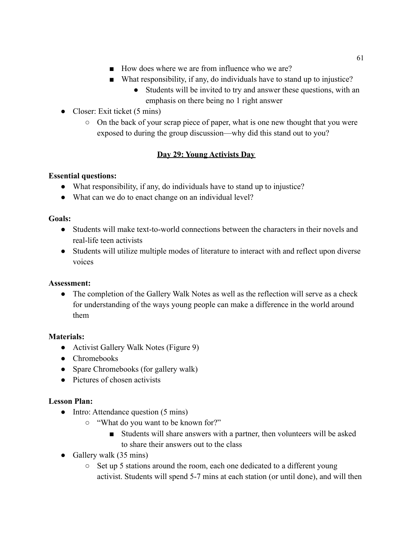- How does where we are from influence who we are?
- What responsibility, if any, do individuals have to stand up to injustice?
	- Students will be invited to try and answer these questions, with an emphasis on there being no 1 right answer
- Closer: Exit ticket (5 mins)
	- On the back of your scrap piece of paper, what is one new thought that you were exposed to during the group discussion—why did this stand out to you?

# **Day 29: Young Activists Day**

# **Essential questions:**

- What responsibility, if any, do individuals have to stand up to injustice?
- What can we do to enact change on an individual level?

# **Goals:**

- Students will make text-to-world connections between the characters in their novels and real-life teen activists
- Students will utilize multiple modes of literature to interact with and reflect upon diverse voices

# **Assessment:**

• The completion of the Gallery Walk Notes as well as the reflection will serve as a check for understanding of the ways young people can make a difference in the world around them

# **Materials:**

- Activist Gallery Walk Notes (Figure 9)
- Chromebooks
- Spare Chromebooks (for gallery walk)
- Pictures of chosen activists

- Intro: Attendance question (5 mins)
	- "What do you want to be known for?"
		- Students will share answers with a partner, then volunteers will be asked to share their answers out to the class
- Gallery walk  $(35 \text{ mins})$ 
	- Set up 5 stations around the room, each one dedicated to a different young activist. Students will spend 5-7 mins at each station (or until done), and will then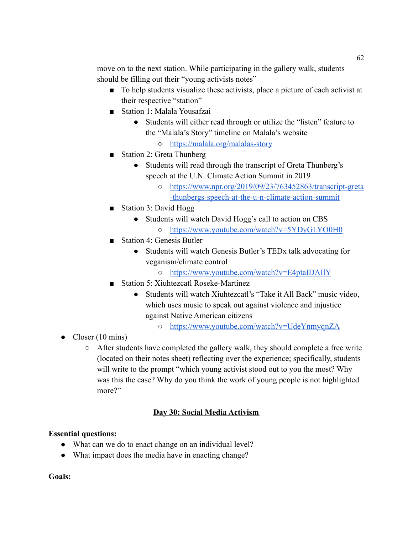move on to the next station. While participating in the gallery walk, students should be filling out their "young activists notes"

- To help students visualize these activists, place a picture of each activist at their respective "station"
- Station 1: Malala Yousafzai
	- Students will either read through or utilize the "listen" feature to the "Malala's Story" timeline on Malala's website
		- <https://malala.org/malalas-story>
- Station 2: Greta Thunberg
	- Students will read through the transcript of Greta Thunberg's speech at the U.N. Climate Action Summit in 2019
		- [https://www.npr.org/2019/09/23/763452863/transcript-greta](https://www.npr.org/2019/09/23/763452863/transcript-greta-thunbergs-speech-at-the-u-n-climate-action-summit) [-thunbergs-speech-at-the-u-n-climate-action-summit](https://www.npr.org/2019/09/23/763452863/transcript-greta-thunbergs-speech-at-the-u-n-climate-action-summit)
- Station 3: David Hogg
	- Students will watch David Hogg's call to action on CBS ○ <https://www.youtube.com/watch?v=5YDyGLYO0H0>
- Station 4: Genesis Butler
	- Students will watch Genesis Butler's TEDx talk advocating for veganism/climate control
		- <https://www.youtube.com/watch?v=E4ptaIDAIlY>
- Station 5: Xiuhtezcatl Roseke-Martinez
	- Students will watch Xiuhtezcatl's "Take it All Back" music video, which uses music to speak out against violence and injustice against Native American citizens
		- <https://www.youtube.com/watch?v=UdeYnmyqnZA>
- Closer  $(10 \text{ mins})$ 
	- After students have completed the gallery walk, they should complete a free write (located on their notes sheet) reflecting over the experience; specifically, students will write to the prompt "which young activist stood out to you the most? Why was this the case? Why do you think the work of young people is not highlighted more?"

# **Day 30: Social Media Activism**

## **Essential questions:**

- What can we do to enact change on an individual level?
- What impact does the media have in enacting change?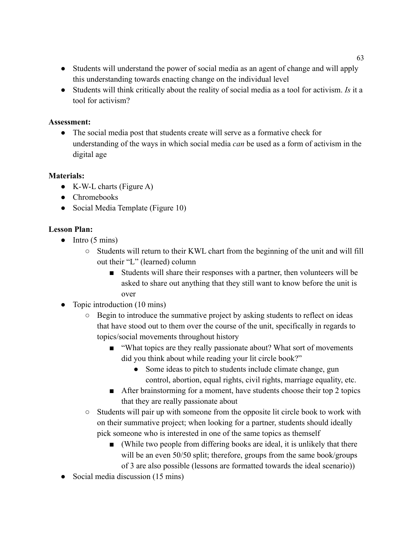- Students will understand the power of social media as an agent of change and will apply this understanding towards enacting change on the individual level
- Students will think critically about the reality of social media as a tool for activism. *Is* it a tool for activism?

• The social media post that students create will serve as a formative check for understanding of the ways in which social media *can* be used as a form of activism in the digital age

# **Materials:**

- $\bullet$  K-W-L charts (Figure A)
- Chromebooks
- Social Media Template (Figure 10)

- $\bullet$  Intro (5 mins)
	- Students will return to their KWL chart from the beginning of the unit and will fill out their "L" (learned) column
		- Students will share their responses with a partner, then volunteers will be asked to share out anything that they still want to know before the unit is over
- Topic introduction (10 mins)
	- Begin to introduce the summative project by asking students to reflect on ideas that have stood out to them over the course of the unit, specifically in regards to topics/social movements throughout history
		- "What topics are they really passionate about? What sort of movements did you think about while reading your lit circle book?"
			- Some ideas to pitch to students include climate change, gun control, abortion, equal rights, civil rights, marriage equality, etc.
		- After brainstorming for a moment, have students choose their top 2 topics that they are really passionate about
	- Students will pair up with someone from the opposite lit circle book to work with on their summative project; when looking for a partner, students should ideally pick someone who is interested in one of the same topics as themself
		- (While two people from differing books are ideal, it is unlikely that there will be an even 50/50 split; therefore, groups from the same book/groups of 3 are also possible (lessons are formatted towards the ideal scenario))
- Social media discussion (15 mins)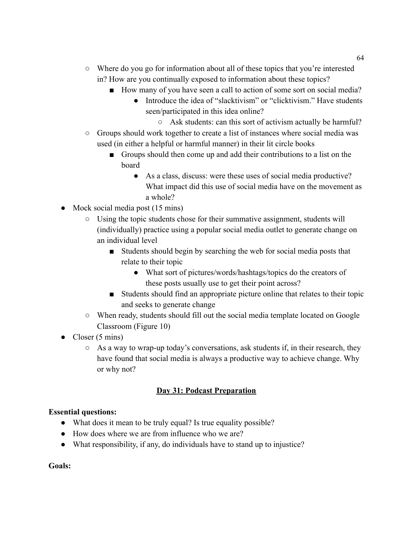- Where do you go for information about all of these topics that you're interested in? How are you continually exposed to information about these topics?
	- How many of you have seen a call to action of some sort on social media?
		- Introduce the idea of "slacktivism" or "clicktivism." Have students seen/participated in this idea online?
			- Ask students: can this sort of activism actually be harmful?
- Groups should work together to create a list of instances where social media was used (in either a helpful or harmful manner) in their lit circle books
	- Groups should then come up and add their contributions to a list on the board
		- As a class, discuss: were these uses of social media productive? What impact did this use of social media have on the movement as a whole?
- Mock social media post (15 mins)
	- Using the topic students chose for their summative assignment, students will (individually) practice using a popular social media outlet to generate change on an individual level
		- Students should begin by searching the web for social media posts that relate to their topic
			- What sort of pictures/words/hashtags/topics do the creators of these posts usually use to get their point across?
		- Students should find an appropriate picture online that relates to their topic and seeks to generate change
	- When ready, students should fill out the social media template located on Google Classroom (Figure 10)
- Closer  $(5 \text{ mins})$ 
	- $\circ$  As a way to wrap-up today's conversations, ask students if, in their research, they have found that social media is always a productive way to achieve change. Why or why not?

## **Day 31: Podcast Preparation**

#### **Essential questions:**

- What does it mean to be truly equal? Is true equality possible?
- How does where we are from influence who we are?
- What responsibility, if any, do individuals have to stand up to injustice?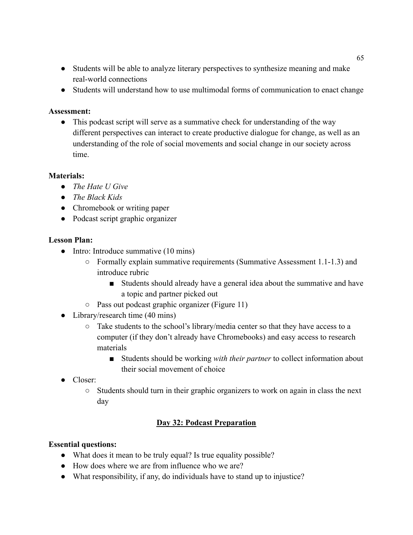- Students will be able to analyze literary perspectives to synthesize meaning and make real-world connections
- Students will understand how to use multimodal forms of communication to enact change

• This podcast script will serve as a summative check for understanding of the way different perspectives can interact to create productive dialogue for change, as well as an understanding of the role of social movements and social change in our society across time.

## **Materials:**

- *● The Hate U Give*
- *● The Black Kids*
- Chromebook or writing paper
- Podcast script graphic organizer

### **Lesson Plan:**

- Intro: Introduce summative (10 mins)
	- Formally explain summative requirements (Summative Assessment 1.1-1.3) and introduce rubric
		- Students should already have a general idea about the summative and have a topic and partner picked out
	- Pass out podcast graphic organizer (Figure 11)
- Library/research time (40 mins)
	- Take students to the school's library/media center so that they have access to a computer (if they don't already have Chromebooks) and easy access to research materials
		- Students should be working *with their partner* to collect information about their social movement of choice
- Closer:
	- $\circ$  Students should turn in their graphic organizers to work on again in class the next day

## **Day 32: Podcast Preparation**

#### **Essential questions:**

- What does it mean to be truly equal? Is true equality possible?
- How does where we are from influence who we are?
- What responsibility, if any, do individuals have to stand up to injustice?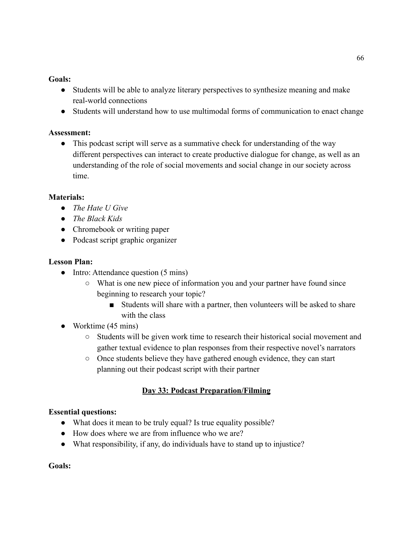### **Goals:**

- Students will be able to analyze literary perspectives to synthesize meaning and make real-world connections
- Students will understand how to use multimodal forms of communication to enact change

## **Assessment:**

• This podcast script will serve as a summative check for understanding of the way different perspectives can interact to create productive dialogue for change, as well as an understanding of the role of social movements and social change in our society across time.

## **Materials:**

- *● The Hate U Give*
- *● The Black Kids*
- Chromebook or writing paper
- Podcast script graphic organizer

### **Lesson Plan:**

- Intro: Attendance question (5 mins)
	- What is one new piece of information you and your partner have found since beginning to research your topic?
		- Students will share with a partner, then volunteers will be asked to share with the class
- Worktime (45 mins)
	- Students will be given work time to research their historical social movement and gather textual evidence to plan responses from their respective novel's narrators
	- Once students believe they have gathered enough evidence, they can start planning out their podcast script with their partner

## **Day 33: Podcast Preparation/Filming**

## **Essential questions:**

- What does it mean to be truly equal? Is true equality possible?
- How does where we are from influence who we are?
- What responsibility, if any, do individuals have to stand up to injustice?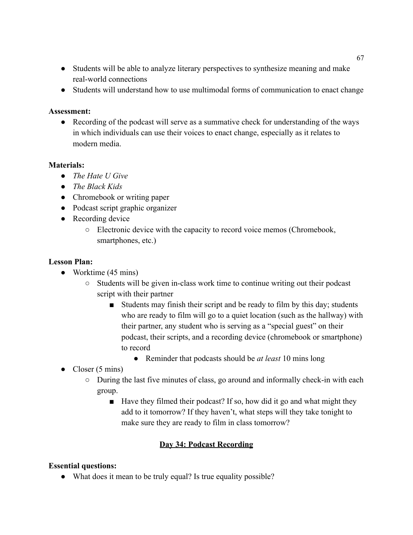- Students will be able to analyze literary perspectives to synthesize meaning and make real-world connections
- Students will understand how to use multimodal forms of communication to enact change

• Recording of the podcast will serve as a summative check for understanding of the ways in which individuals can use their voices to enact change, especially as it relates to modern media.

## **Materials:**

- *● The Hate U Give*
- *● The Black Kids*
- Chromebook or writing paper
- Podcast script graphic organizer
- Recording device
	- Electronic device with the capacity to record voice memos (Chromebook, smartphones, etc.)

### **Lesson Plan:**

- Worktime (45 mins)
	- $\circ$  Students will be given in-class work time to continue writing out their podcast script with their partner
		- Students may finish their script and be ready to film by this day; students who are ready to film will go to a quiet location (such as the hallway) with their partner, any student who is serving as a "special guest" on their podcast, their scripts, and a recording device (chromebook or smartphone) to record
			- Reminder that podcasts should be *at least* 10 mins long
- Closer  $(5 \text{ mins})$ 
	- $\circ$  During the last five minutes of class, go around and informally check-in with each group.
		- Have they filmed their podcast? If so, how did it go and what might they add to it tomorrow? If they haven't, what steps will they take tonight to make sure they are ready to film in class tomorrow?

## **Day 34: Podcast Recording**

## **Essential questions:**

• What does it mean to be truly equal? Is true equality possible?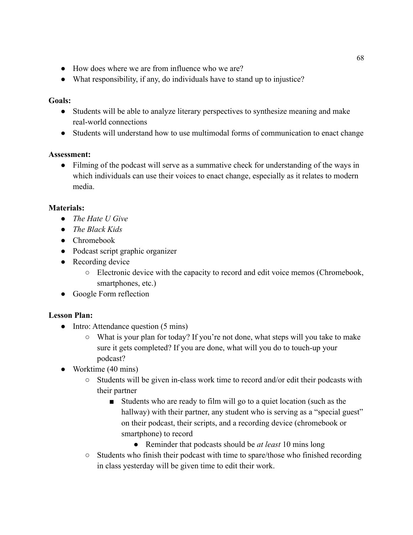- How does where we are from influence who we are?
- What responsibility, if any, do individuals have to stand up to injustice?

### **Goals:**

- Students will be able to analyze literary perspectives to synthesize meaning and make real-world connections
- Students will understand how to use multimodal forms of communication to enact change

### **Assessment:**

• Filming of the podcast will serve as a summative check for understanding of the ways in which individuals can use their voices to enact change, especially as it relates to modern media.

## **Materials:**

- *● The Hate U Give*
- *● The Black Kids*
- Chromebook
- Podcast script graphic organizer
- Recording device
	- Electronic device with the capacity to record and edit voice memos (Chromebook, smartphones, etc.)
- Google Form reflection

- Intro: Attendance question (5 mins)
	- What is your plan for today? If you're not done, what steps will you take to make sure it gets completed? If you are done, what will you do to touch-up your podcast?
- Worktime (40 mins)
	- Students will be given in-class work time to record and/or edit their podcasts with their partner
		- Students who are ready to film will go to a quiet location (such as the hallway) with their partner, any student who is serving as a "special guest" on their podcast, their scripts, and a recording device (chromebook or smartphone) to record
			- Reminder that podcasts should be *at least* 10 mins long
	- Students who finish their podcast with time to spare/those who finished recording in class yesterday will be given time to edit their work.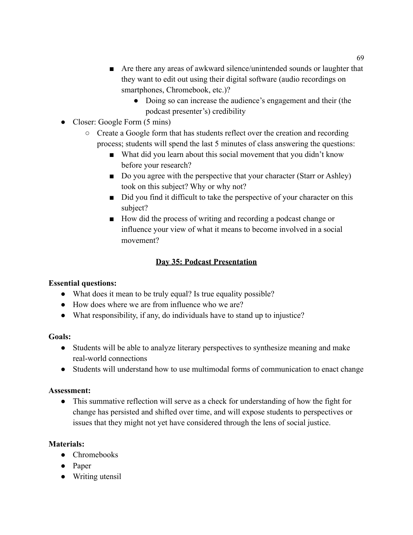- Are there any areas of awkward silence/unintended sounds or laughter that they want to edit out using their digital software (audio recordings on smartphones, Chromebook, etc.)?
	- Doing so can increase the audience's engagement and their (the podcast presenter's) credibility
- Closer: Google Form (5 mins)
	- Create a Google form that has students reflect over the creation and recording process; students will spend the last 5 minutes of class answering the questions:
		- What did you learn about this social movement that you didn't know before your research?
		- Do you agree with the perspective that your character (Starr or Ashley) took on this subject? Why or why not?
		- Did you find it difficult to take the perspective of your character on this subject?
		- How did the process of writing and recording a podcast change or influence your view of what it means to become involved in a social movement?

# **Day 35: Podcast Presentation**

# **Essential questions:**

- What does it mean to be truly equal? Is true equality possible?
- How does where we are from influence who we are?
- What responsibility, if any, do individuals have to stand up to injustice?

## **Goals:**

- Students will be able to analyze literary perspectives to synthesize meaning and make real-world connections
- Students will understand how to use multimodal forms of communication to enact change

# **Assessment:**

• This summative reflection will serve as a check for understanding of how the fight for change has persisted and shifted over time, and will expose students to perspectives or issues that they might not yet have considered through the lens of social justice.

# **Materials:**

- Chromebooks
- Paper
- Writing utensil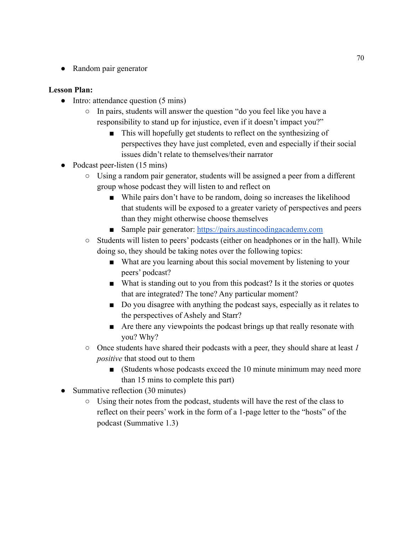• Random pair generator

- Intro: attendance question (5 mins)
	- In pairs, students will answer the question "do you feel like you have a responsibility to stand up for injustice, even if it doesn't impact you?"
		- This will hopefully get students to reflect on the synthesizing of perspectives they have just completed, even and especially if their social issues didn't relate to themselves/their narrator
- Podcast peer-listen (15 mins)
	- Using a random pair generator, students will be assigned a peer from a different group whose podcast they will listen to and reflect on
		- While pairs don't have to be random, doing so increases the likelihood that students will be exposed to a greater variety of perspectives and peers than they might otherwise choose themselves
		- Sample pair generator: <https://pairs.austincodingacademy.com>
	- Students will listen to peers' podcasts (either on headphones or in the hall). While doing so, they should be taking notes over the following topics:
		- What are you learning about this social movement by listening to your peers' podcast?
		- What is standing out to you from this podcast? Is it the stories or quotes that are integrated? The tone? Any particular moment?
		- Do you disagree with anything the podcast says, especially as it relates to the perspectives of Ashely and Starr?
		- Are there any viewpoints the podcast brings up that really resonate with you? Why?
	- Once students have shared their podcasts with a peer, they should share at least *1 positive* that stood out to them
		- (Students whose podcasts exceed the 10 minute minimum may need more than 15 mins to complete this part)
- Summative reflection (30 minutes)
	- Using their notes from the podcast, students will have the rest of the class to reflect on their peers' work in the form of a 1-page letter to the "hosts" of the podcast (Summative 1.3)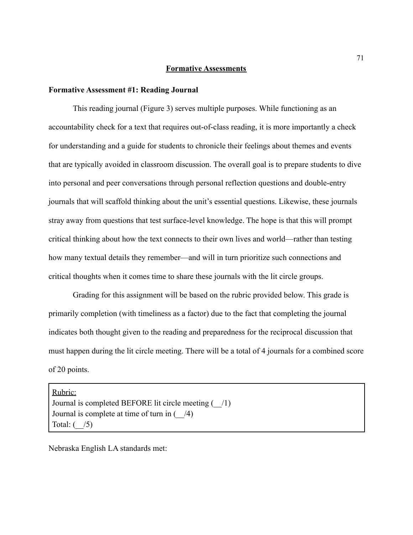#### **Formative Assessments**

#### **Formative Assessment #1: Reading Journal**

This reading journal (Figure 3) serves multiple purposes. While functioning as an accountability check for a text that requires out-of-class reading, it is more importantly a check for understanding and a guide for students to chronicle their feelings about themes and events that are typically avoided in classroom discussion. The overall goal is to prepare students to dive into personal and peer conversations through personal reflection questions and double-entry journals that will scaffold thinking about the unit's essential questions. Likewise, these journals stray away from questions that test surface-level knowledge. The hope is that this will prompt critical thinking about how the text connects to their own lives and world—rather than testing how many textual details they remember—and will in turn prioritize such connections and critical thoughts when it comes time to share these journals with the lit circle groups.

Grading for this assignment will be based on the rubric provided below. This grade is primarily completion (with timeliness as a factor) due to the fact that completing the journal indicates both thought given to the reading and preparedness for the reciprocal discussion that must happen during the lit circle meeting. There will be a total of 4 journals for a combined score of 20 points.

Rubric: Journal is completed BEFORE lit circle meeting (\_\_/1) Journal is complete at time of turn in  $($  /4) Total:  $($  /5)

Nebraska English LA standards met: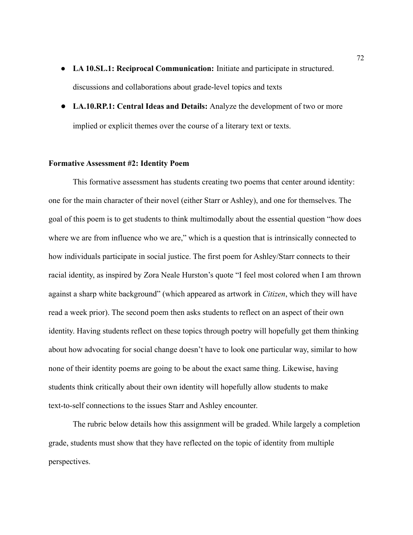- **LA 10.SL.1: Reciprocal Communication:** Initiate and participate in structured. discussions and collaborations about grade-level topics and texts
- **LA.10.RP.1: Central Ideas and Details:** Analyze the development of two or more implied or explicit themes over the course of a literary text or texts.

#### **Formative Assessment #2: Identity Poem**

This formative assessment has students creating two poems that center around identity: one for the main character of their novel (either Starr or Ashley), and one for themselves. The goal of this poem is to get students to think multimodally about the essential question "how does where we are from influence who we are," which is a question that is intrinsically connected to how individuals participate in social justice. The first poem for Ashley/Starr connects to their racial identity, as inspired by Zora Neale Hurston's quote "I feel most colored when I am thrown against a sharp white background" (which appeared as artwork in *Citizen*, which they will have read a week prior). The second poem then asks students to reflect on an aspect of their own identity. Having students reflect on these topics through poetry will hopefully get them thinking about how advocating for social change doesn't have to look one particular way, similar to how none of their identity poems are going to be about the exact same thing. Likewise, having students think critically about their own identity will hopefully allow students to make text-to-self connections to the issues Starr and Ashley encounter.

The rubric below details how this assignment will be graded. While largely a completion grade, students must show that they have reflected on the topic of identity from multiple perspectives.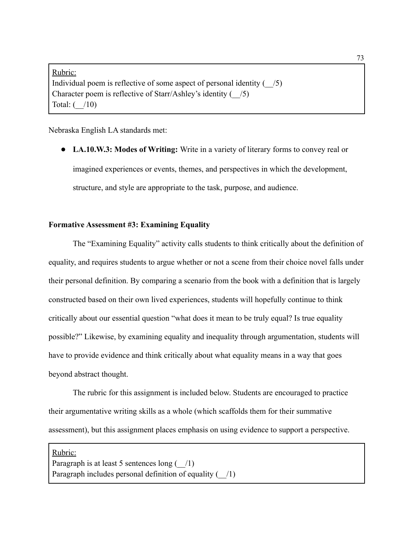Rubric: Individual poem is reflective of some aspect of personal identity  $($  /5) Character poem is reflective of Starr/Ashley's identity  $(-/5)$ Total: (\_\_/10)

Nebraska English LA standards met:

● **LA.10.W.3: Modes of Writing:** Write in a variety of literary forms to convey real or imagined experiences or events, themes, and perspectives in which the development, structure, and style are appropriate to the task, purpose, and audience.

#### **Formative Assessment #3: Examining Equality**

The "Examining Equality" activity calls students to think critically about the definition of equality, and requires students to argue whether or not a scene from their choice novel falls under their personal definition. By comparing a scenario from the book with a definition that is largely constructed based on their own lived experiences, students will hopefully continue to think critically about our essential question "what does it mean to be truly equal? Is true equality possible?" Likewise, by examining equality and inequality through argumentation, students will have to provide evidence and think critically about what equality means in a way that goes beyond abstract thought.

The rubric for this assignment is included below. Students are encouraged to practice their argumentative writing skills as a whole (which scaffolds them for their summative assessment), but this assignment places emphasis on using evidence to support a perspective.

Rubric: Paragraph is at least 5 sentences long  $($  /1) Paragraph includes personal definition of equality  $($  /1)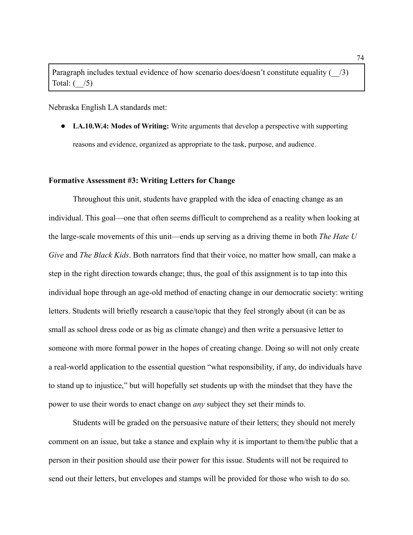Paragraph includes textual evidence of how scenario does/doesn't constitute equality  $(-/3)$ Total:  $($  /5)

Nebraska English LA standards met:

● **LA.10.W.4: Modes of Writing:** Write arguments that develop a perspective with supporting reasons and evidence, organized as appropriate to the task, purpose, and audience.

#### **Formative Assessment #3: Writing Letters for Change**

Throughout this unit, students have grappled with the idea of enacting change as an individual. This goal—one that often seems difficult to comprehend as a reality when looking at the large-scale movements of this unit—ends up serving as a driving theme in both *The Hate U Give* and *The Black Kids*. Both narrators find that their voice, no matter how small, can make a step in the right direction towards change; thus, the goal of this assignment is to tap into this individual hope through an age-old method of enacting change in our democratic society: writing letters. Students will briefly research a cause/topic that they feel strongly about (it can be as small as school dress code or as big as climate change) and then write a persuasive letter to someone with more formal power in the hopes of creating change. Doing so will not only create a real-world application to the essential question "what responsibility, if any, do individuals have to stand up to injustice," but will hopefully set students up with the mindset that they have the power to use their words to enact change on *any* subject they set their minds to.

Students will be graded on the persuasive nature of their letters; they should not merely comment on an issue, but take a stance and explain why it is important to them/the public that a person in their position should use their power for this issue. Students will not be required to send out their letters, but envelopes and stamps will be provided for those who wish to do so.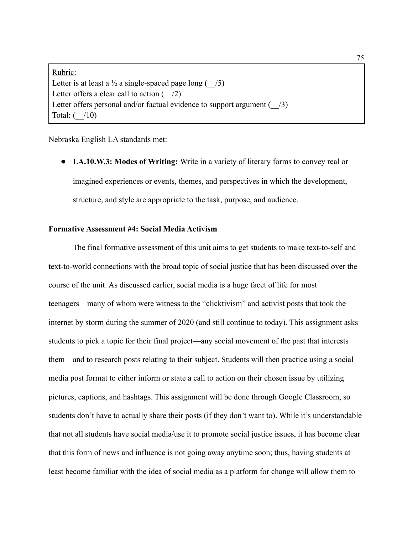Rubric: Letter is at least a  $\frac{1}{2}$  a single-spaced page long ( $\frac{7}{5}$ ) Letter offers a clear call to action  $($   $/2)$ Letter offers personal and/or factual evidence to support argument  $($   $/3)$ Total:  $($  /10)

Nebraska English LA standards met:

● **LA.10.W.3: Modes of Writing:** Write in a variety of literary forms to convey real or imagined experiences or events, themes, and perspectives in which the development, structure, and style are appropriate to the task, purpose, and audience.

#### **Formative Assessment #4: Social Media Activism**

The final formative assessment of this unit aims to get students to make text-to-self and text-to-world connections with the broad topic of social justice that has been discussed over the course of the unit. As discussed earlier, social media is a huge facet of life for most teenagers—many of whom were witness to the "clicktivism" and activist posts that took the internet by storm during the summer of 2020 (and still continue to today). This assignment asks students to pick a topic for their final project—any social movement of the past that interests them—and to research posts relating to their subject. Students will then practice using a social media post format to either inform or state a call to action on their chosen issue by utilizing pictures, captions, and hashtags. This assignment will be done through Google Classroom, so students don't have to actually share their posts (if they don't want to). While it's understandable that not all students have social media/use it to promote social justice issues, it has become clear that this form of news and influence is not going away anytime soon; thus, having students at least become familiar with the idea of social media as a platform for change will allow them to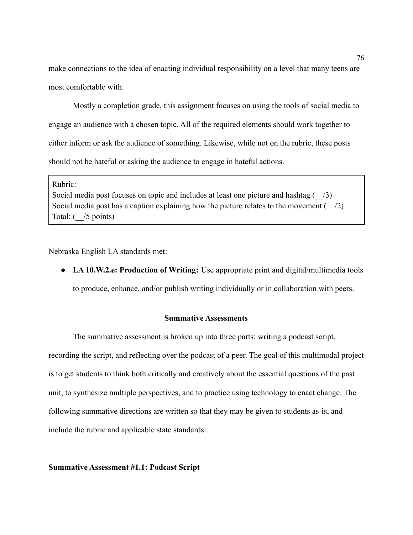make connections to the idea of enacting individual responsibility on a level that many teens are most comfortable with.

Mostly a completion grade, this assignment focuses on using the tools of social media to engage an audience with a chosen topic. All of the required elements should work together to either inform or ask the audience of something. Likewise, while not on the rubric, these posts should not be hateful or asking the audience to engage in hateful actions.

Rubric:

Social media post focuses on topic and includes at least one picture and hashtag  $(-/3)$ Social media post has a caption explaining how the picture relates to the movement  $($   $/2)$ Total:  $($  /5 points)

Nebraska English LA standards met:

● **LA 10.W.2.e: Production of Writing:** Use appropriate print and digital/multimedia tools to produce, enhance, and/or publish writing individually or in collaboration with peers.

#### **Summative Assessments**

The summative assessment is broken up into three parts: writing a podcast script, recording the script, and reflecting over the podcast of a peer. The goal of this multimodal project is to get students to think both critically and creatively about the essential questions of the past unit, to synthesize multiple perspectives, and to practice using technology to enact change. The following summative directions are written so that they may be given to students as-is, and include the rubric and applicable state standards:

**Summative Assessment #1.1: Podcast Script**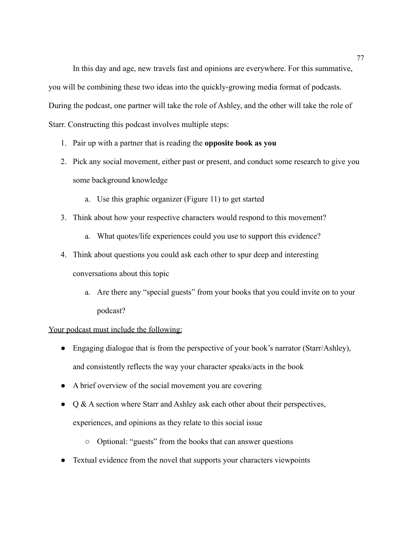In this day and age, new travels fast and opinions are everywhere. For this summative, you will be combining these two ideas into the quickly-growing media format of podcasts. During the podcast, one partner will take the role of Ashley, and the other will take the role of Starr. Constructing this podcast involves multiple steps:

- 1. Pair up with a partner that is reading the **opposite book as you**
- 2. Pick any social movement, either past or present, and conduct some research to give you some background knowledge
	- a. Use this graphic organizer (Figure 11) to get started
- 3. Think about how your respective characters would respond to this movement?
	- a. What quotes/life experiences could you use to support this evidence?
- 4. Think about questions you could ask each other to spur deep and interesting conversations about this topic
	- a. Are there any "special guests" from your books that you could invite on to your podcast?

#### Your podcast must include the following:

- Engaging dialogue that is from the perspective of your book's narrator (Starr/Ashley), and consistently reflects the way your character speaks/acts in the book
- A brief overview of the social movement you are covering
- Q & A section where Starr and Ashley ask each other about their perspectives, experiences, and opinions as they relate to this social issue
	- Optional: "guests" from the books that can answer questions
- Textual evidence from the novel that supports your characters viewpoints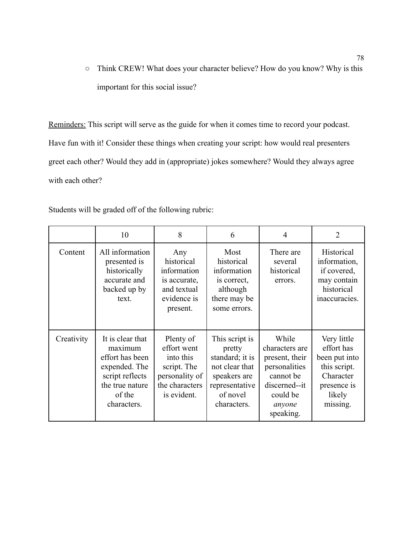○ Think CREW! What does your character believe? How do you know? Why is this important for this social issue?

Reminders: This script will serve as the guide for when it comes time to record your podcast. Have fun with it! Consider these things when creating your script: how would real presenters greet each other? Would they add in (appropriate) jokes somewhere? Would they always agree with each other?

Students will be graded off of the following rubric:

|            | 10                                                                                                                             | 8                                                                                                       | 6                                                                                                                          | 4                                                                                                                           | $\overline{2}$                                                                                               |
|------------|--------------------------------------------------------------------------------------------------------------------------------|---------------------------------------------------------------------------------------------------------|----------------------------------------------------------------------------------------------------------------------------|-----------------------------------------------------------------------------------------------------------------------------|--------------------------------------------------------------------------------------------------------------|
| Content    | All information<br>presented is<br>historically<br>accurate and<br>backed up by<br>text.                                       | Any<br>historical<br>information<br>is accurate,<br>and textual<br>evidence is<br>present.              | Most<br>historical<br>information<br>is correct,<br>although<br>there may be<br>some errors.                               | There are<br>several<br>historical<br>errors.                                                                               | Historical<br>information,<br>if covered,<br>may contain<br>historical<br>inaccuracies.                      |
| Creativity | It is clear that<br>maximum<br>effort has been<br>expended. The<br>script reflects<br>the true nature<br>of the<br>characters. | Plenty of<br>effort went<br>into this<br>script. The<br>personality of<br>the characters<br>is evident. | This script is<br>pretty<br>standard; it is<br>not clear that<br>speakers are<br>representative<br>of novel<br>characters. | While<br>characters are<br>present, their<br>personalities<br>cannot be<br>discerned--it<br>could be<br>anyone<br>speaking. | Very little<br>effort has<br>been put into<br>this script.<br>Character<br>presence is<br>likely<br>missing. |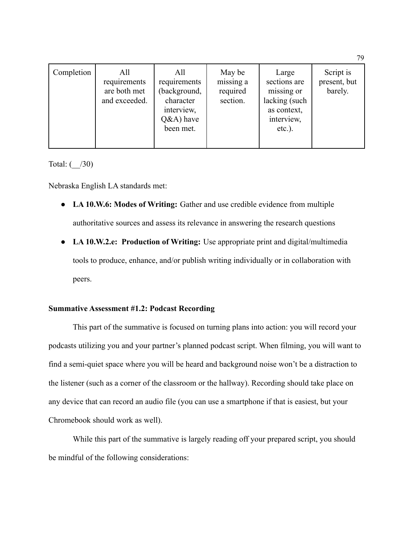| Completion | All<br>requirements<br>are both met<br>and exceeded. | All<br>requirements<br>background,<br>character<br>interview,<br>$Q&A)$ have<br>been met. | May be<br>missing a<br>required<br>section. | Large<br>sections are<br>missing or<br>lacking (such<br>as context,<br>interview,<br>$etc.$ ). | Script is<br>present, but<br>barely. |
|------------|------------------------------------------------------|-------------------------------------------------------------------------------------------|---------------------------------------------|------------------------------------------------------------------------------------------------|--------------------------------------|
|            |                                                      |                                                                                           |                                             |                                                                                                |                                      |

Total:  $($  /30)

Nebraska English LA standards met:

- **LA 10.W.6: Modes of Writing:** Gather and use credible evidence from multiple authoritative sources and assess its relevance in answering the research questions
- **LA 10.W.2.e: Production of Writing:** Use appropriate print and digital/multimedia tools to produce, enhance, and/or publish writing individually or in collaboration with peers.

### **Summative Assessment #1.2: Podcast Recording**

This part of the summative is focused on turning plans into action: you will record your podcasts utilizing you and your partner's planned podcast script. When filming, you will want to find a semi-quiet space where you will be heard and background noise won't be a distraction to the listener (such as a corner of the classroom or the hallway). Recording should take place on any device that can record an audio file (you can use a smartphone if that is easiest, but your Chromebook should work as well).

While this part of the summative is largely reading off your prepared script, you should be mindful of the following considerations:

79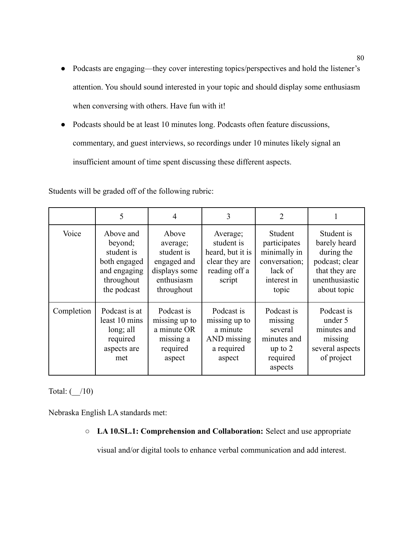- Podcasts are engaging—they cover interesting topics/perspectives and hold the listener's attention. You should sound interested in your topic and should display some enthusiasm when conversing with others. Have fun with it!
- Podcasts should be at least 10 minutes long. Podcasts often feature discussions, commentary, and guest interviews, so recordings under 10 minutes likely signal an insufficient amount of time spent discussing these different aspects.

Students will be graded off of the following rubric:

|            | 5                                                                                               | $\overline{4}$                                                                              | 3                                                                                       | 2                                                                                           | 1                                                                                                            |
|------------|-------------------------------------------------------------------------------------------------|---------------------------------------------------------------------------------------------|-----------------------------------------------------------------------------------------|---------------------------------------------------------------------------------------------|--------------------------------------------------------------------------------------------------------------|
| Voice      | Above and<br>beyond;<br>student is<br>both engaged<br>and engaging<br>throughout<br>the podcast | Above<br>average;<br>student is<br>engaged and<br>displays some<br>enthusiasm<br>throughout | Average;<br>student is<br>heard, but it is<br>clear they are<br>reading off a<br>script | Student<br>participates<br>minimally in<br>conversation;<br>lack of<br>interest in<br>topic | Student is<br>barely heard<br>during the<br>podcast; clear<br>that they are<br>unenthusiastic<br>about topic |
| Completion | Podcast is at<br>least 10 mins<br>long; all<br>required<br>aspects are<br>met                   | Podcast is<br>missing up to<br>a minute OR<br>missing a<br>required<br>aspect               | Podcast is<br>missing up to<br>a minute<br>AND missing<br>a required<br>aspect          | Podcast is<br>missing<br>several<br>minutes and<br>up to $2$<br>required<br>aspects         | Podcast is<br>under 5<br>minutes and<br>missing<br>several aspects<br>of project                             |

Total:  $($  /10)

Nebraska English LA standards met:

○ **LA 10.SL.1: Comprehension and Collaboration:** Select and use appropriate

visual and/or digital tools to enhance verbal communication and add interest.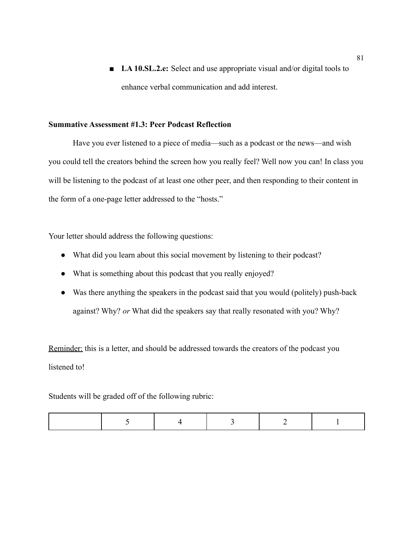■ **LA 10.SL.2.e:** Select and use appropriate visual and/or digital tools to enhance verbal communication and add interest.

#### **Summative Assessment #1.3: Peer Podcast Reflection**

Have you ever listened to a piece of media—such as a podcast or the news—and wish you could tell the creators behind the screen how you really feel? Well now you can! In class you will be listening to the podcast of at least one other peer, and then responding to their content in the form of a one-page letter addressed to the "hosts."

Your letter should address the following questions:

- What did you learn about this social movement by listening to their podcast?
- What is something about this podcast that you really enjoyed?
- Was there anything the speakers in the podcast said that you would (politely) push-back against? Why? *or* What did the speakers say that really resonated with you? Why?

Reminder: this is a letter, and should be addressed towards the creators of the podcast you listened to!

Students will be graded off of the following rubric: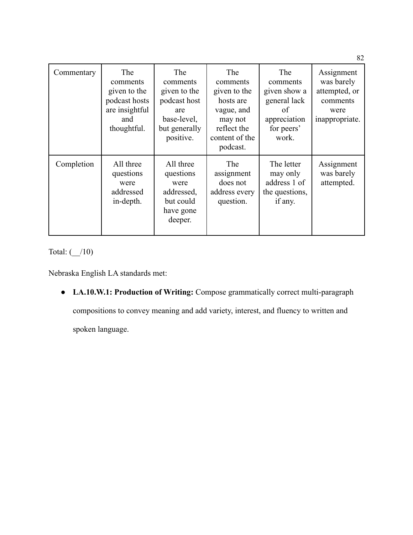| Commentary | <b>The</b><br>comments<br>given to the<br>podcast hosts<br>are insightful<br>and<br>thoughtful. | The<br>comments<br>given to the<br>podcast host<br>are<br>base-level,<br>but generally<br>positive. | The<br>comments<br>given to the<br>hosts are<br>vague, and<br>may not<br>reflect the<br>content of the<br>podcast. | The<br>comments<br>given show a<br>general lack<br>of<br>appreciation<br>for peers'<br>work. | Assignment<br>was barely<br>attempted, or<br>comments<br>were<br>inappropriate. |
|------------|-------------------------------------------------------------------------------------------------|-----------------------------------------------------------------------------------------------------|--------------------------------------------------------------------------------------------------------------------|----------------------------------------------------------------------------------------------|---------------------------------------------------------------------------------|
| Completion | All three<br>questions<br>were<br>addressed<br>in-depth.                                        | All three<br>questions<br>were<br>addressed,<br>but could<br>have gone<br>deeper.                   | The<br>assignment<br>does not<br>address every<br>question.                                                        | The letter<br>may only<br>address 1 of<br>the questions,<br>if any.                          | Assignment<br>was barely<br>attempted.                                          |

Total: (\_\_/10)

Nebraska English LA standards met:

● **LA.10.W.1: Production of Writing:** Compose grammatically correct multi-paragraph

compositions to convey meaning and add variety, interest, and fluency to written and

spoken language.

82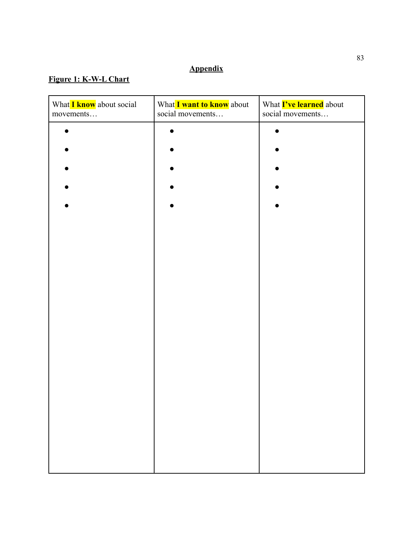# **Appendix**

# **Figure 1: K-W-L Chart**

| What I know about social<br>movements | What I want to know about<br>social movements | What <b>I've learned</b> about<br>social movements |
|---------------------------------------|-----------------------------------------------|----------------------------------------------------|
|                                       |                                               |                                                    |
|                                       |                                               |                                                    |
|                                       |                                               |                                                    |
|                                       |                                               |                                                    |
|                                       |                                               |                                                    |
|                                       |                                               |                                                    |
|                                       |                                               |                                                    |
|                                       |                                               |                                                    |
|                                       |                                               |                                                    |
|                                       |                                               |                                                    |
|                                       |                                               |                                                    |
|                                       |                                               |                                                    |
|                                       |                                               |                                                    |
|                                       |                                               |                                                    |
|                                       |                                               |                                                    |
|                                       |                                               |                                                    |
|                                       |                                               |                                                    |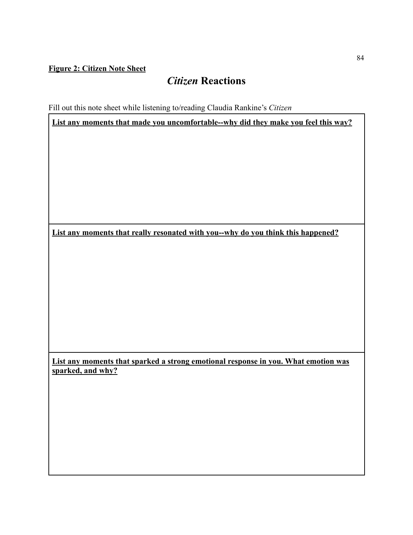## **Figure 2: Citizen Note Sheet**

# *Citizen* **Reactions**

Fill out this note sheet while listening to/reading Claudia Rankine's *Citizen*

**List any moments that made you uncomfortable--why did they make you feel this way?**

**List any moments that really resonated with you--why do you think this happened?**

**List any moments that sparked a strong emotional response in you. What emotion was sparked, and why?**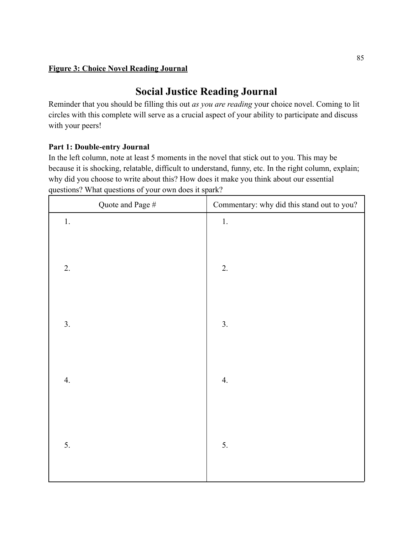## **Figure 3: Choice Novel Reading Journal**

# **Social Justice Reading Journal**

Reminder that you should be filling this out *as you are reading* your choice novel. Coming to lit circles with this complete will serve as a crucial aspect of your ability to participate and discuss with your peers!

## **Part 1: Double-entry Journal**

In the left column, note at least 5 moments in the novel that stick out to you. This may be because it is shocking, relatable, difficult to understand, funny, etc. In the right column, explain; why did you choose to write about this? How does it make you think about our essential questions? What questions of your own does it spark?

| Quote and Page $\#$ | Commentary: why did this stand out to you? |
|---------------------|--------------------------------------------|
| $1.$                | $1. \,$                                    |
| 2.                  | 2.                                         |
| 3.                  | $\overline{3}$ .                           |
| 4.                  | $\overline{4}$ .                           |
| 5.                  | 5.                                         |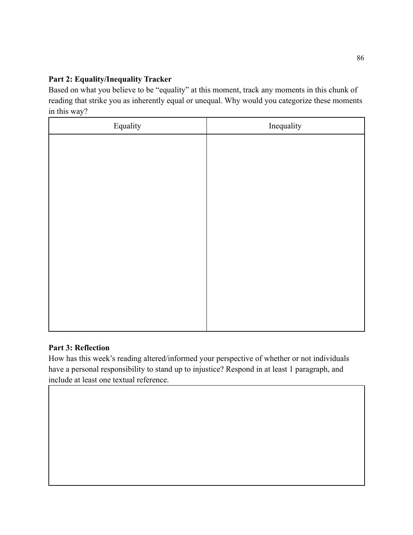## **Part 2: Equality/Inequality Tracker**

Based on what you believe to be "equality" at this moment, track any moments in this chunk of reading that strike you as inherently equal or unequal. Why would you categorize these moments in this way?

| Equality | Inequality |
|----------|------------|
|          |            |
|          |            |
|          |            |
|          |            |
|          |            |
|          |            |
|          |            |
|          |            |
|          |            |
|          |            |
|          |            |
|          |            |

## **Part 3: Reflection**

How has this week's reading altered/informed your perspective of whether or not individuals have a personal responsibility to stand up to injustice? Respond in at least 1 paragraph, and include at least one textual reference.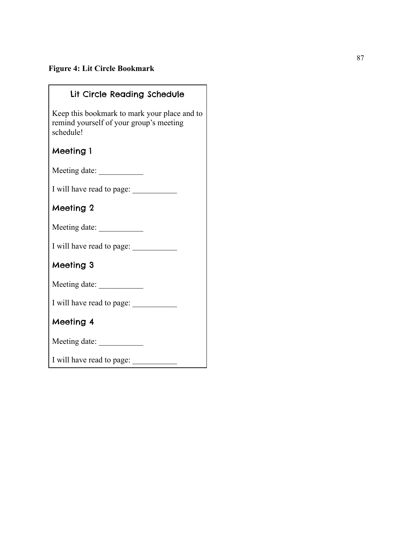# **Figure 4: Lit Circle Bookmark**

| Lit Circle Reading Schedule                                                                          |
|------------------------------------------------------------------------------------------------------|
| Keep this bookmark to mark your place and to<br>remind yourself of your group's meeting<br>schedule! |
| Meeting 1                                                                                            |
|                                                                                                      |
|                                                                                                      |
| Meeting 2                                                                                            |
|                                                                                                      |
|                                                                                                      |
| Meeting 3                                                                                            |
| Meeting date:                                                                                        |
|                                                                                                      |
| Meeting 4                                                                                            |
|                                                                                                      |
|                                                                                                      |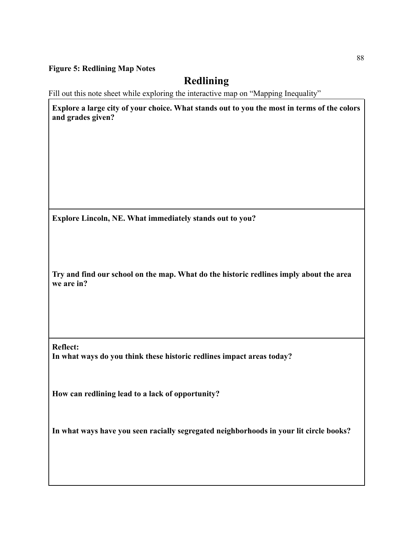#### **Figure 5: Redlining Map Notes**

# **Redlining**

Fill out this note sheet while exploring the interactive map on "Mapping Inequality"

**Explore a large city of your choice. What stands out to you the most in terms of the colors and grades given?**

**Explore Lincoln, NE. What immediately stands out to you?**

**Try and find our school on the map. What do the historic redlines imply about the area we are in?**

**Reflect: In what ways do you think these historic redlines impact areas today?**

**How can redlining lead to a lack of opportunity?**

**In what ways have you seen racially segregated neighborhoods in your lit circle books?**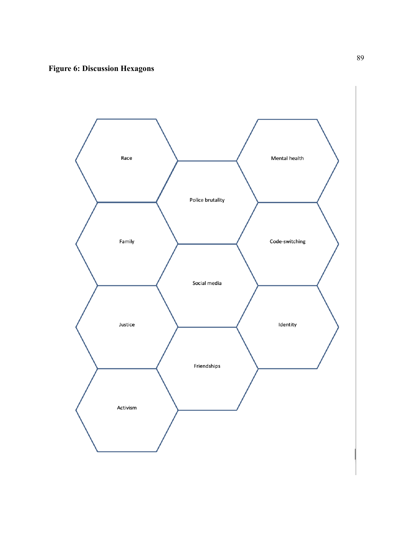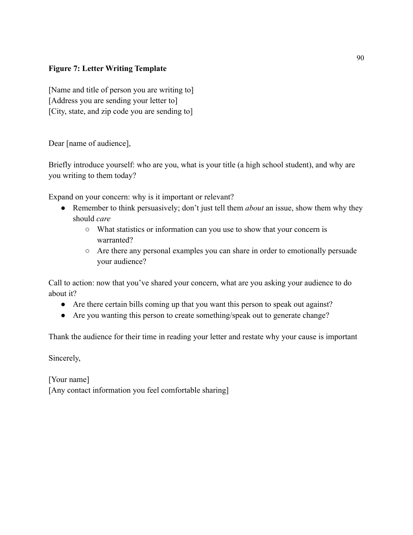## **Figure 7: Letter Writing Template**

[Name and title of person you are writing to] [Address you are sending your letter to] [City, state, and zip code you are sending to]

Dear [name of audience],

Briefly introduce yourself: who are you, what is your title (a high school student), and why are you writing to them today?

Expand on your concern: why is it important or relevant?

- Remember to think persuasively; don't just tell them *about* an issue, show them why they should *care*
	- What statistics or information can you use to show that your concern is warranted?
	- Are there any personal examples you can share in order to emotionally persuade your audience?

Call to action: now that you've shared your concern, what are you asking your audience to do about it?

- Are there certain bills coming up that you want this person to speak out against?
- Are you wanting this person to create something/speak out to generate change?

Thank the audience for their time in reading your letter and restate why your cause is important

Sincerely,

[Your name] [Any contact information you feel comfortable sharing]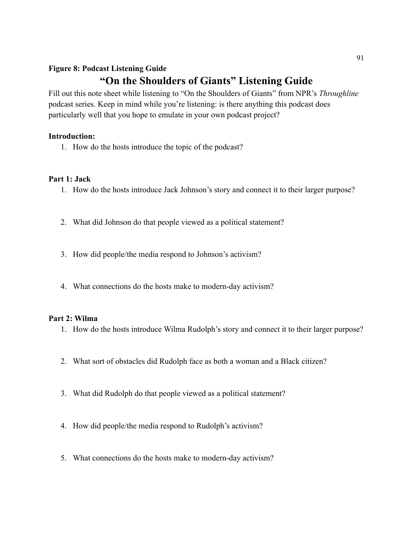# **Figure 8: Podcast Listening Guide "On the Shoulders of Giants" Listening Guide**

Fill out this note sheet while listening to "On the Shoulders of Giants" from NPR's *Throughline* podcast series. Keep in mind while you're listening: is there anything this podcast does particularly well that you hope to emulate in your own podcast project?

### **Introduction:**

1. How do the hosts introduce the topic of the podcast?

### **Part 1: Jack**

- 1. How do the hosts introduce Jack Johnson's story and connect it to their larger purpose?
- 2. What did Johnson do that people viewed as a political statement?
- 3. How did people/the media respond to Johnson's activism?
- 4. What connections do the hosts make to modern-day activism?

### **Part 2: Wilma**

- 1. How do the hosts introduce Wilma Rudolph's story and connect it to their larger purpose?
- 2. What sort of obstacles did Rudolph face as both a woman and a Black citizen?
- 3. What did Rudolph do that people viewed as a political statement?
- 4. How did people/the media respond to Rudolph's activism?
- 5. What connections do the hosts make to modern-day activism?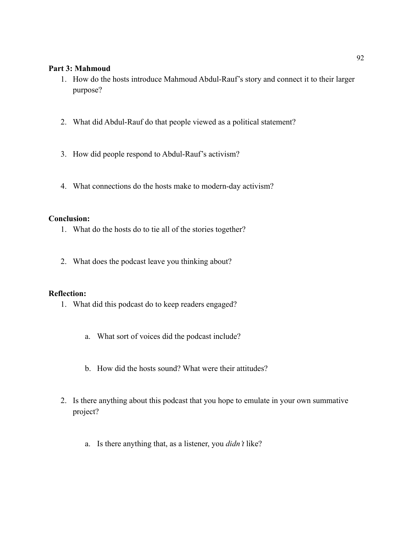### **Part 3: Mahmoud**

- 1. How do the hosts introduce Mahmoud Abdul-Rauf's story and connect it to their larger purpose?
- 2. What did Abdul-Rauf do that people viewed as a political statement?
- 3. How did people respond to Abdul-Rauf's activism?
- 4. What connections do the hosts make to modern-day activism?

#### **Conclusion:**

- 1. What do the hosts do to tie all of the stories together?
- 2. What does the podcast leave you thinking about?

#### **Reflection:**

- 1. What did this podcast do to keep readers engaged?
	- a. What sort of voices did the podcast include?
	- b. How did the hosts sound? What were their attitudes?
- 2. Is there anything about this podcast that you hope to emulate in your own summative project?
	- a. Is there anything that, as a listener, you *didn't* like?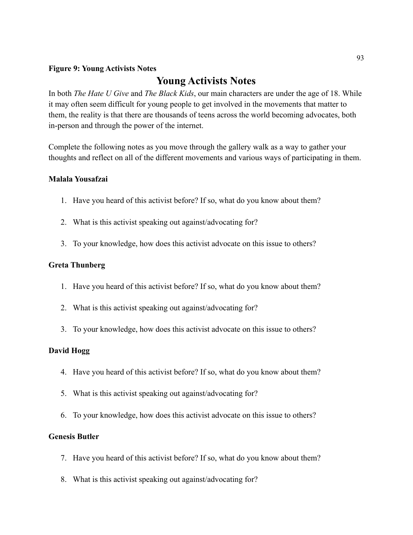#### **Figure 9: Young Activists Notes**

# **Young Activists Notes**

In both *The Hate U Give* and *The Black Kids*, our main characters are under the age of 18. While it may often seem difficult for young people to get involved in the movements that matter to them, the reality is that there are thousands of teens across the world becoming advocates, both in-person and through the power of the internet.

Complete the following notes as you move through the gallery walk as a way to gather your thoughts and reflect on all of the different movements and various ways of participating in them.

### **Malala Yousafzai**

- 1. Have you heard of this activist before? If so, what do you know about them?
- 2. What is this activist speaking out against/advocating for?
- 3. To your knowledge, how does this activist advocate on this issue to others?

#### **Greta Thunberg**

- 1. Have you heard of this activist before? If so, what do you know about them?
- 2. What is this activist speaking out against/advocating for?
- 3. To your knowledge, how does this activist advocate on this issue to others?

#### **David Hogg**

- 4. Have you heard of this activist before? If so, what do you know about them?
- 5. What is this activist speaking out against/advocating for?
- 6. To your knowledge, how does this activist advocate on this issue to others?

### **Genesis Butler**

- 7. Have you heard of this activist before? If so, what do you know about them?
- 8. What is this activist speaking out against/advocating for?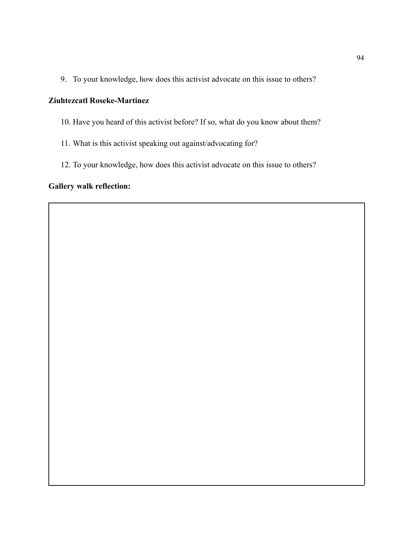9. To your knowledge, how does this activist advocate on this issue to others?

## **Ziuhtezcatl Roseke-Martinez**

- 10. Have you heard of this activist before? If so, what do you know about them?
- 11. What is this activist speaking out against/advocating for?
- 12. To your knowledge, how does this activist advocate on this issue to others?

### **Gallery walk reflection:**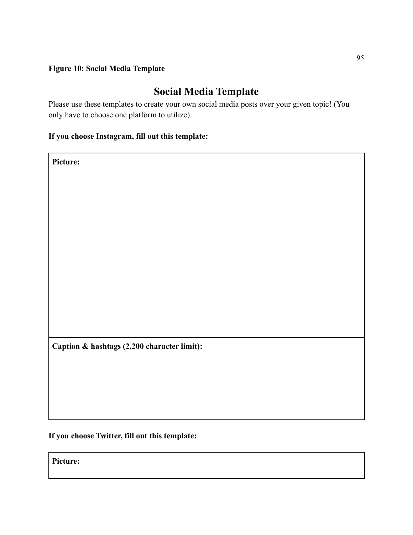### **Figure 10: Social Media Template**

# **Social Media Template**

Please use these templates to create your own social media posts over your given topic! (You only have to choose one platform to utilize).

# **If you choose Instagram, fill out this template:**

**Picture:**

**Caption & hashtags (2,200 character limit):**

**If you choose Twitter, fill out this template:**

**Picture:**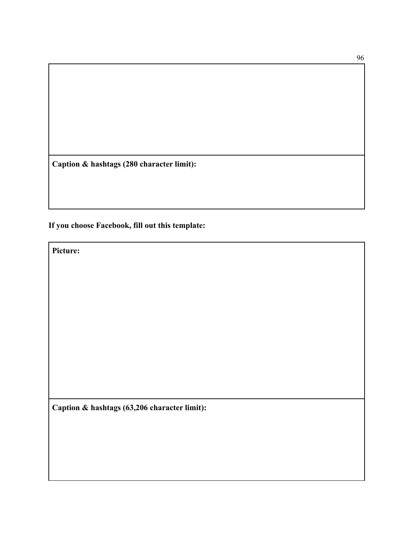**Caption & hashtags (280 character limit):**

# **If you choose Facebook, fill out this template:**

**Picture:**

**Caption & hashtags (63,206 character limit):**

96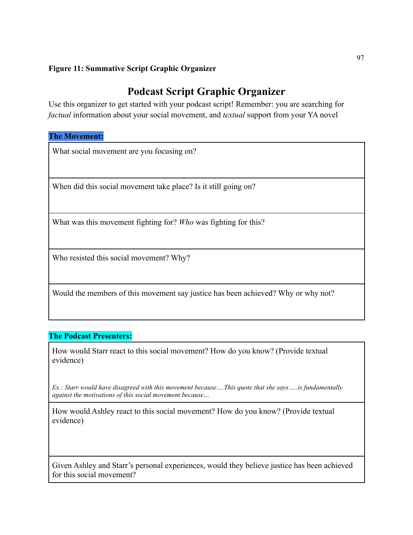## **Figure 11: Summative Script Graphic Organizer**

# **Podcast Script Graphic Organizer**

Use this organizer to get started with your podcast script! Remember: you are searching for *factual* information about your social movement, and *textual* support from your YA novel

### **The Movement:**

What social movement are you focusing on?

When did this social movement take place? Is it still going on?

What was this movement fighting for? *Who* was fighting for this?

Who resisted this social movement? Why?

Would the members of this movement say justice has been achieved? Why or why not?

### **The Podcast Presenters:**

How would Starr react to this social movement? How do you know? (Provide textual evidence)

*Ex.: Starr would have disagreed with this movement because….This quote that she says…..is fundamentally against the motivations of this social movement because…*

How would Ashley react to this social movement? How do you know? (Provide textual evidence)

Given Ashley and Starr's personal experiences, would they believe justice has been achieved for this social movement?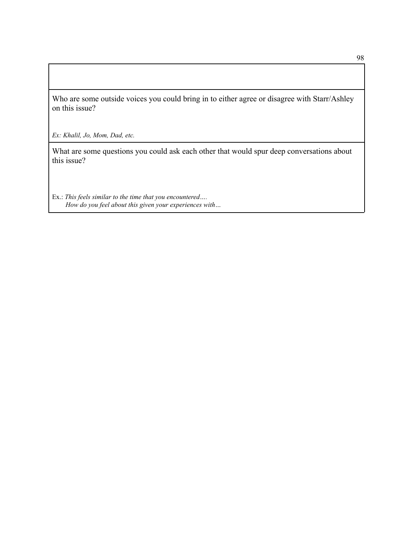Who are some outside voices you could bring in to either agree or disagree with Starr/Ashley on this issue?

*Ex: Khalil, Jo, Mom, Dad, etc.*

What are some questions you could ask each other that would spur deep conversations about this issue?

Ex.: *This feels similar to the time that you encountered…. How do you feel about this given your experiences with…*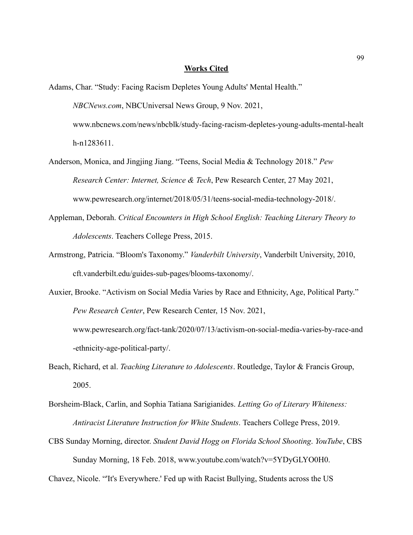#### **Works Cited**

- Adams, Char. "Study: Facing Racism Depletes Young Adults' Mental Health." *NBCNews.com*, NBCUniversal News Group, 9 Nov. 2021, www.nbcnews.com/news/nbcblk/study-facing-racism-depletes-young-adults-mental-healt h-n1283611.
- Anderson, Monica, and Jingjing Jiang. "Teens, Social Media & Technology 2018." *Pew Research Center: Internet, Science & Tech*, Pew Research Center, 27 May 2021, www.pewresearch.org/internet/2018/05/31/teens-social-media-technology-2018/.
- Appleman, Deborah. *Critical Encounters in High School English: Teaching Literary Theory to Adolescents*. Teachers College Press, 2015.
- Armstrong, Patricia. "Bloom's Taxonomy." *Vanderbilt University*, Vanderbilt University, 2010, cft.vanderbilt.edu/guides-sub-pages/blooms-taxonomy/.
- Auxier, Brooke. "Activism on Social Media Varies by Race and Ethnicity, Age, Political Party." *Pew Research Center*, Pew Research Center, 15 Nov. 2021, www.pewresearch.org/fact-tank/2020/07/13/activism-on-social-media-varies-by-race-and -ethnicity-age-political-party/.
- Beach, Richard, et al. *Teaching Literature to Adolescents*. Routledge, Taylor & Francis Group, 2005.
- Borsheim-Black, Carlin, and Sophia Tatiana Sarigianides. *Letting Go of Literary Whiteness: Antiracist Literature Instruction for White Students*. Teachers College Press, 2019.
- CBS Sunday Morning, director. *Student David Hogg on Florida School Shooting*. *YouTube*, CBS Sunday Morning, 18 Feb. 2018, www.youtube.com/watch?v=5YDyGLYO0H0.

Chavez, Nicole. "'It's Everywhere.' Fed up with Racist Bullying, Students across the US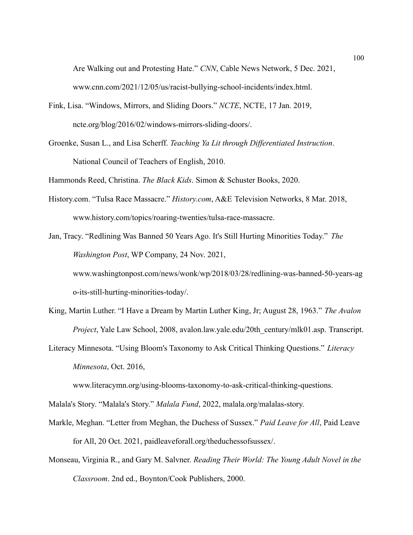Are Walking out and Protesting Hate." *CNN*, Cable News Network, 5 Dec. 2021, www.cnn.com/2021/12/05/us/racist-bullying-school-incidents/index.html.

- Fink, Lisa. "Windows, Mirrors, and Sliding Doors." *NCTE*, NCTE, 17 Jan. 2019, ncte.org/blog/2016/02/windows-mirrors-sliding-doors/.
- Groenke, Susan L., and Lisa Scherff. *Teaching Ya Lit through Differentiated Instruction*. National Council of Teachers of English, 2010.

Hammonds Reed, Christina. *The Black Kids*. Simon & Schuster Books, 2020.

History.com. "Tulsa Race Massacre." *History.com*, A&E Television Networks, 8 Mar. 2018, www.history.com/topics/roaring-twenties/tulsa-race-massacre.

Jan, Tracy. "Redlining Was Banned 50 Years Ago. It's Still Hurting Minorities Today." *The Washington Post*, WP Company, 24 Nov. 2021, www.washingtonpost.com/news/wonk/wp/2018/03/28/redlining-was-banned-50-years-ag o-its-still-hurting-minorities-today/.

- King, Martin Luther. "I Have a Dream by Martin Luther King, Jr; August 28, 1963." *The Avalon Project*, Yale Law School, 2008, avalon.law.yale.edu/20th\_century/mlk01.asp. Transcript.
- Literacy Minnesota. "Using Bloom's Taxonomy to Ask Critical Thinking Questions." *Literacy Minnesota*, Oct. 2016,

www.literacymn.org/using-blooms-taxonomy-to-ask-critical-thinking-questions.

Malala's Story. "Malala's Story." *Malala Fund*, 2022, malala.org/malalas-story.

- Markle, Meghan. "Letter from Meghan, the Duchess of Sussex." *Paid Leave for All*, Paid Leave for All, 20 Oct. 2021, paidleaveforall.org/theduchessofsussex/.
- Monseau, Virginia R., and Gary M. Salvner. *Reading Their World: The Young Adult Novel in the Classroom*. 2nd ed., Boynton/Cook Publishers, 2000.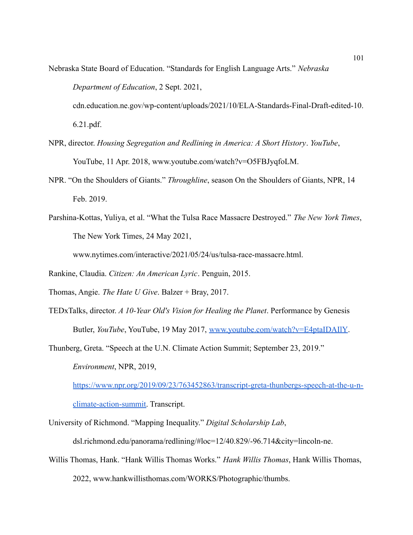Nebraska State Board of Education. "Standards for English Language Arts." *Nebraska Department of Education*, 2 Sept. 2021, cdn.education.ne.gov/wp-content/uploads/2021/10/ELA-Standards-Final-Draft-edited-10.

6.21.pdf.

- NPR, director. *Housing Segregation and Redlining in America: A Short History*. *YouTube*, YouTube, 11 Apr. 2018, www.youtube.com/watch?v=O5FBJyqfoLM.
- NPR. "On the Shoulders of Giants." *Throughline*, season On the Shoulders of Giants, NPR, 14 Feb. 2019.
- Parshina-Kottas, Yuliya, et al. "What the Tulsa Race Massacre Destroyed." *The New York Times*, The New York Times, 24 May 2021,

www.nytimes.com/interactive/2021/05/24/us/tulsa-race-massacre.html.

Rankine, Claudia. *Citizen: An American Lyric*. Penguin, 2015.

Thomas, Angie. *The Hate U Give*. Balzer + Bray, 2017.

TEDxTalks, director. *A 10-Year Old's Vision for Healing the Planet*. Performance by Genesis Butler, *YouTube*, YouTube, 19 May 2017, [www.youtube.com/watch?v=E4ptaIDAIlY](http://www.youtube.com/watch?v=E4ptaIDAIlY).

Thunberg, Greta. "Speech at the U.N. Climate Action Summit; September 23, 2019." *Environment*, NPR, 2019,

[https://www.npr.org/2019/09/23/763452863/transcript-greta-thunbergs-speech-at-the-u-n](https://www.npr.org/2019/09/23/763452863/transcript-greta-thunbergs-speech-at-the-u-n-climate-action-summit)[climate-action-summit.](https://www.npr.org/2019/09/23/763452863/transcript-greta-thunbergs-speech-at-the-u-n-climate-action-summit) Transcript.

University of Richmond. "Mapping Inequality." *Digital Scholarship Lab*,

dsl.richmond.edu/panorama/redlining/#loc=12/40.829/-96.714&city=lincoln-ne.

Willis Thomas, Hank. "Hank Willis Thomas Works." *Hank Willis Thomas*, Hank Willis Thomas, 2022, www.hankwillisthomas.com/WORKS/Photographic/thumbs.